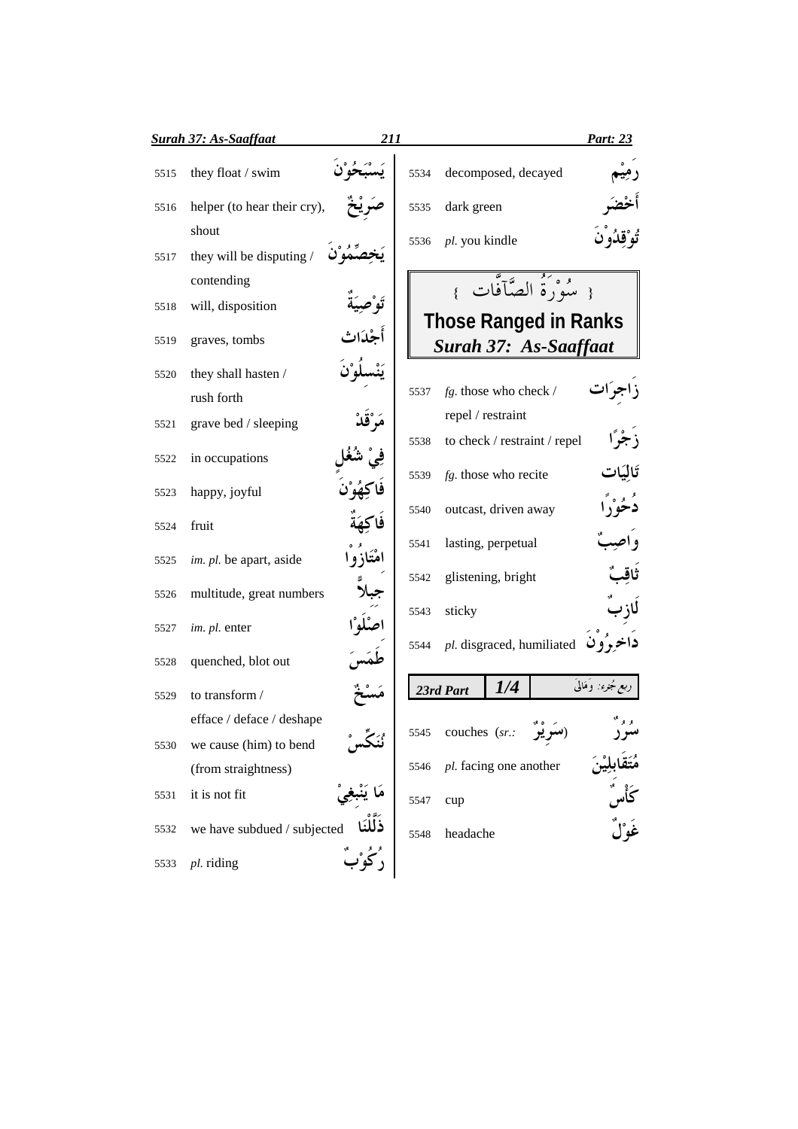|              | <b>Surah 37: As-Saaffaat</b>                | 211     |              |                                              |                      |                                                          | <b>Part: 23</b>                    |
|--------------|---------------------------------------------|---------|--------------|----------------------------------------------|----------------------|----------------------------------------------------------|------------------------------------|
| 5515         | they float / swim                           |         | 5534         |                                              | decomposed, decayed  |                                                          |                                    |
| 5516         | helper (to hear their cry),                 |         | 5535         | dark green                                   |                      |                                                          |                                    |
| 5517         | shout<br>they will be disputing /           |         | 5536         | pl. you kindle                               |                      |                                                          |                                    |
| 5518         | contending<br>will, disposition             |         |              |                                              |                      | { سُوْرَةُ الصَّآفَّات }<br><b>Those Ranged in Ranks</b> |                                    |
| 5519         | graves, tombs                               | أجْدَاث |              |                                              |                      | Surah 37: As-Saaffaat                                    |                                    |
| 5520         | they shall hasten /<br>rush forth           |         | 5537         | $fg.$ those who check /<br>repel / restraint |                      |                                                          |                                    |
| 5521<br>5522 | grave bed / sleeping<br>in occupations      |         | 5538         |                                              |                      | to check / restraint / repel                             | تَالِيَات                          |
| 5523         | happy, joyful                               |         | 5539<br>5540 | $fg$ . those who recite                      | outcast, driven away |                                                          |                                    |
| 5524         | fruit                                       |         | 5541         |                                              | lasting, perpetual   |                                                          |                                    |
| 5525         | im. pl. be apart, aside                     |         | 5542         |                                              | glistening, bright   |                                                          |                                    |
| 5526         | multitude, great numbers                    |         | 5543         | sticky                                       |                      |                                                          |                                    |
| 5527         | im. pl. enter                               |         | 5544         |                                              |                      |                                                          | $pl.$ disgraced, humiliated فاخروف |
| 5528         | quenched, blot out                          |         |              |                                              |                      |                                                          | ربع مُجزء: وَمَالَىَ               |
| 5529         | to transform /<br>efface / deface / deshape |         |              | 23rd Part                                    | 1/4                  |                                                          |                                    |
| 5530         | we cause (him) to bend                      |         | 5545         | couches (sr.:                                |                      |                                                          |                                    |
|              | (from straightness)                         |         | 5546         | pl. facing one another                       |                      |                                                          |                                    |
| 5531         | it is not fit                               |         | 5547         | cup                                          |                      |                                                          |                                    |
| 5532         | we have subdued / subjected                 |         | 5548         | headache                                     |                      |                                                          |                                    |
| 5533         | pl. riding                                  |         |              |                                              |                      |                                                          |                                    |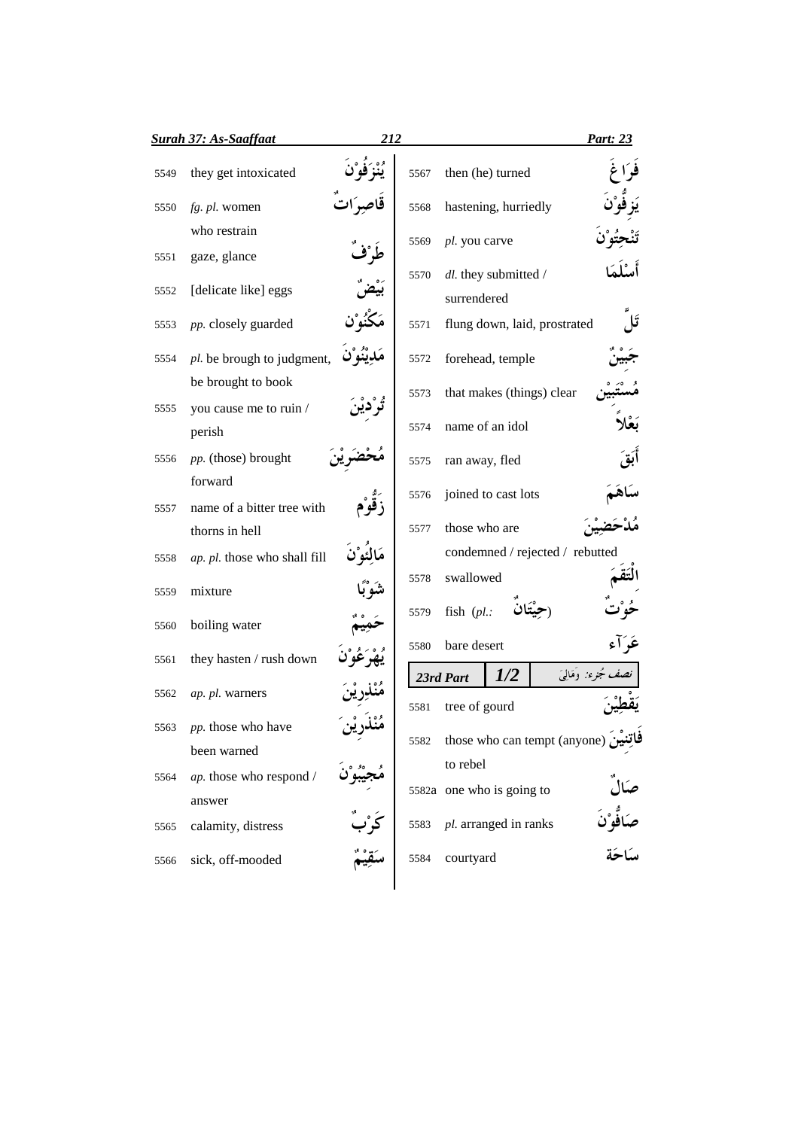|      | <b><u>Surah 37: As-Saaffaat</u></b> | 212 |      |                                             | Part: 23                     |
|------|-------------------------------------|-----|------|---------------------------------------------|------------------------------|
| 5549 | they get intoxicated                |     | 5567 | then (he) turned                            |                              |
| 5550 | fg. pl. women                       |     | 5568 | hastening, hurriedly                        |                              |
|      | who restrain                        |     | 5569 | pl. you carve                               |                              |
| 5551 | gaze, glance                        |     |      |                                             |                              |
| 5552 | [delicate like] eggs                |     | 5570 | dl. they submitted /                        |                              |
| 5553 | pp. closely guarded                 |     | 5571 | surrendered<br>flung down, laid, prostrated |                              |
| 5554 | pl. be brough to judgment,          |     | 5572 | forehead, temple                            |                              |
|      | be brought to book                  |     | 5573 | that makes (things) clear                   |                              |
| 5555 | you cause me to ruin /              |     |      |                                             |                              |
|      | perish                              |     | 5574 | name of an idol                             |                              |
| 5556 | pp. (those) brought                 |     | 5575 | ran away, fled                              |                              |
|      | forward                             |     | 5576 | joined to cast lots                         |                              |
| 5557 | name of a bitter tree with          |     |      |                                             |                              |
|      | thorns in hell                      |     | 5577 | those who are                               |                              |
| 5558 | ap. pl. those who shall fill        |     |      | condemned / rejected / rebutted             |                              |
| 5559 | mixture                             |     | 5578 | swallowed                                   |                              |
| 5560 | boiling water                       |     | 5579 | fish $(pl.:$                                |                              |
| 5561 | they hasten / rush down             |     | 5580 | bare desert                                 |                              |
|      |                                     |     |      | 1/2<br>23rd Part                            | ، جُزء: وَمَالِيَ            |
| 5562 | ap. pl. warners                     |     | 5581 | tree of gourd                               |                              |
| 5563 | pp. those who have                  |     | 5582 | فاتِنين (those who can tempt (anyone)       |                              |
|      | been warned                         |     |      | to rebel                                    |                              |
| 5564 | ap. those who respond /             |     |      | 5582a one who is going to                   |                              |
|      | answer                              |     |      |                                             |                              |
| 5565 | calamity, distress                  |     | 5583 | pl. arranged in ranks                       | صَالٌ<br>صَافٌوْنَ<br>سَاحَة |
| 5566 | sick, off-mooded                    |     | 5584 | courtyard                                   |                              |
|      |                                     |     |      |                                             |                              |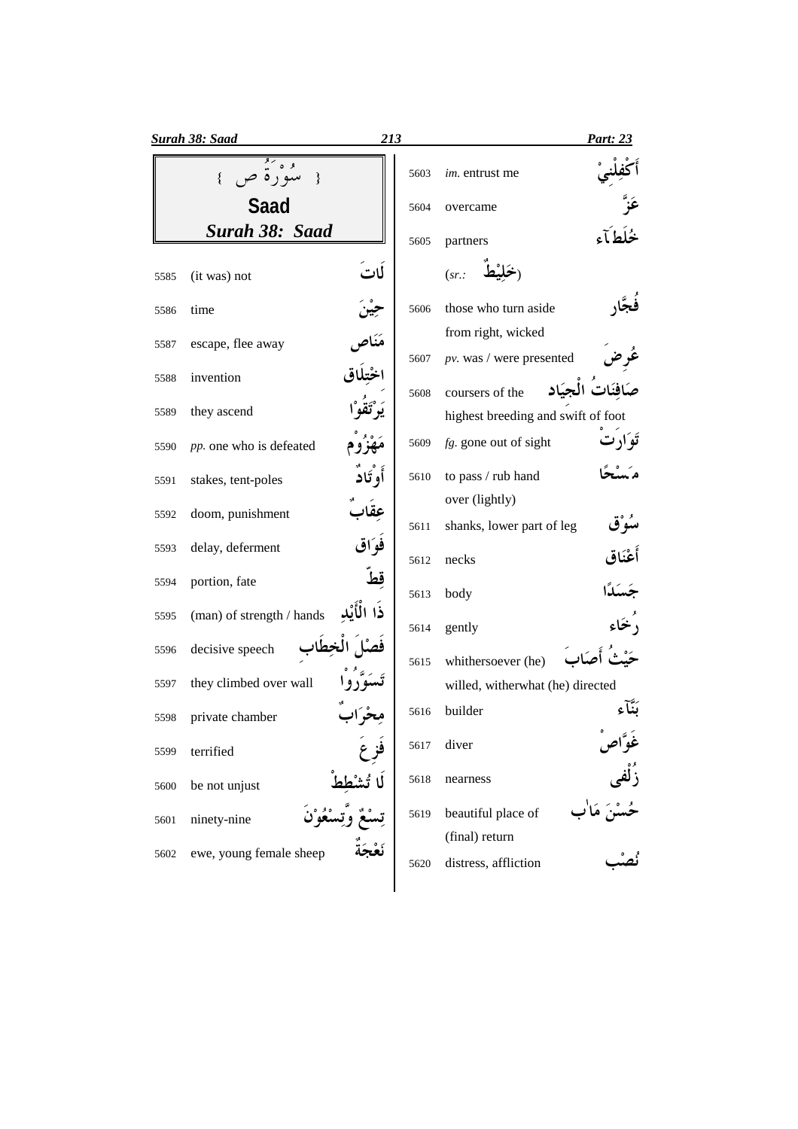|      | <b>Surah 38: Saad</b>         | 213               | <b>Part: 23</b>                                  |
|------|-------------------------------|-------------------|--------------------------------------------------|
|      | سُوْرة ص<br>$\mathcal{E}$     | 5603              | im. entrust me                                   |
|      | <b>Saad</b>                   | 5604              | overcame                                         |
|      | Surah 38: Saad                | 5605              | partners                                         |
| 5585 | لات<br>(it was) not           |                   | (sr.                                             |
| 5586 | time                          | 5606              | those who turn aside                             |
| 5587 | escape, flee away             | 5607              | from right, wicked<br>$pv.$ was / were presented |
| 5588 | invention                     | 5608              | ت الجبَاد<br>coursers of the                     |
| 5589 | they ascend                   |                   | highest breeding and swift of foot               |
| 5590 | pp. one who is defeated       | 5609              | $fg$ . gone out of sight                         |
| 5591 | أو تَاد<br>stakes, tent-poles | 5610              | to pass / rub hand                               |
| 5592 | doom, punishment              |                   | over (lightly)                                   |
| 5593 | فوَاق<br>delay, deferment     | 5611              | shanks, lower part of leg                        |
| 5594 | portion, fate                 | 5612<br><u>قط</u> | أعْنَاق<br>necks                                 |
|      | ذا الأنْد                     | 5613              | body                                             |
| 5595 | (man) of strength / hands     | 5614              | gently                                           |
| 5596 | decisive speech               | 5615              | whithersoever (he)                               |
| 5597 | they climbed over wall        |                   | willed, witherwhat (he) directed                 |
| 5598 | private chamber               | 5616              | builder                                          |
| 5599 | terrified                     | 5617              | غُوَّاصَ<br>زُلْفی<br>حُسْنَ ٰ<br>diver          |
| 5600 | be not unjust                 | 5618              | nearness                                         |
| 5601 | ninety-nine                   | 5619              | beautiful place of                               |
| 5602 | ewe, young female sheep       | 5620              | (final) return<br>distress, affliction           |
|      |                               |                   |                                                  |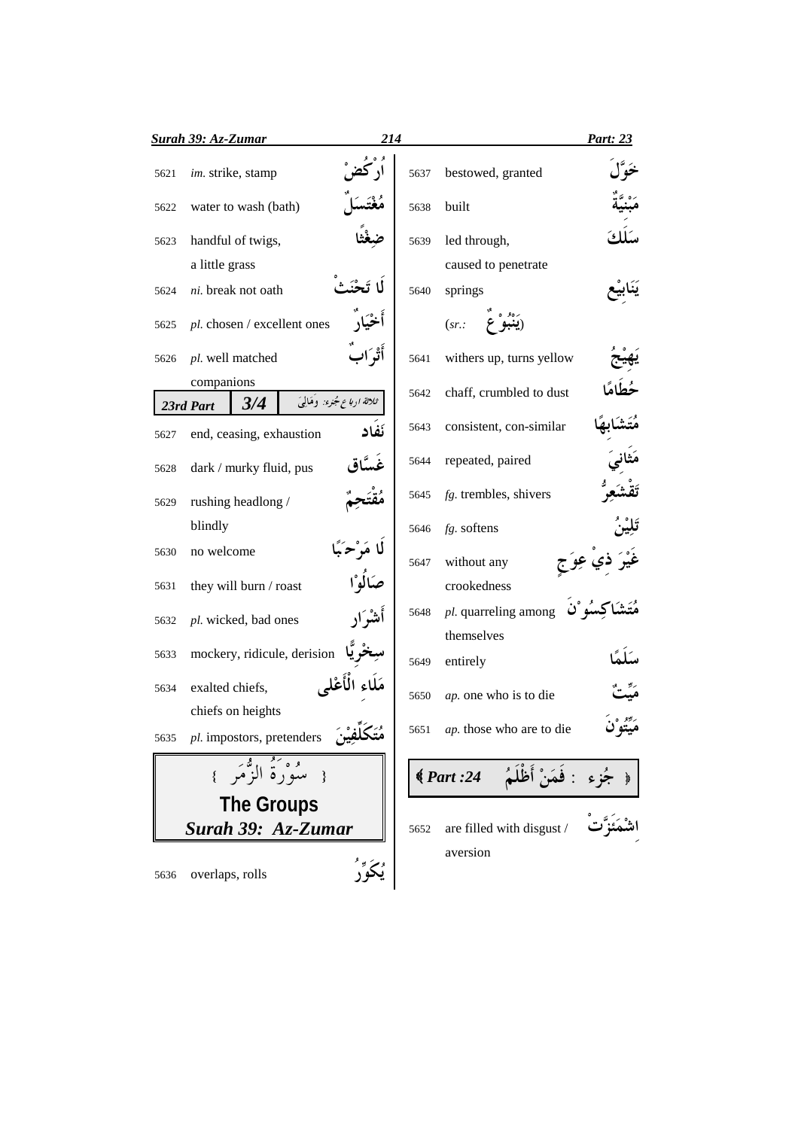|      | <b>Surah 39: Az-Zumar</b>      | 214                         |      |                                        | <b>Part: 23</b> |
|------|--------------------------------|-----------------------------|------|----------------------------------------|-----------------|
| 5621 | im. strike, stamp              |                             | 5637 | bestowed, granted                      |                 |
| 5622 | water to wash (bath)           |                             | 5638 | built                                  |                 |
| 5623 | handful of twigs,              |                             | 5639 | led through,                           |                 |
|      | a little grass                 |                             |      | caused to penetrate                    |                 |
| 5624 | ni. break not oath             |                             | 5640 | springs                                |                 |
| 5625 | pl. chosen / excellent ones    |                             |      | (sr.                                   |                 |
| 5626 | pl. well matched               | أَتْوَار                    | 5641 | withers up, turns yellow               |                 |
|      | companions<br>3/4<br>23rd Part | ثلاثة ارباع جُزء: وَهَالِيَ | 5642 | chaff, crumbled to dust                |                 |
| 5627 | end, ceasing, exhaustion       | نَفاد                       | 5643 | consistent, con-similar                |                 |
| 5628 | dark / murky fluid, pus        |                             | 5644 | repeated, paired                       |                 |
| 5629 | rushing headlong /             |                             | 5645 | fg. trembles, shivers                  |                 |
|      | blindly                        |                             | 5646 | fg. softens                            |                 |
| 5630 | no welcome                     | لا مَرْحَ                   | 5647 | without any                            |                 |
| 5631 | they will burn / roast         |                             |      | crookedness                            |                 |
| 5632 | pl. wicked, bad ones           | نشراد                       | 5648 | pl. quarreling among<br>themselves     |                 |
| 5633 | mockery, ridicule, derision    |                             | 5649 | entirely                               |                 |
| 5634 | exalted chiefs,                |                             | 5650 | ap. one who is to die                  |                 |
|      | chiefs on heights              |                             |      |                                        |                 |
| 5635 | pl. impostors, pretenders      | متحلفين                     |      | 5651 <i>ap</i> . those who are to die  |                 |
|      | { سَوَرَةُ الزَّقْمَ }         |                             |      | جُزِءِ : فَمَنْ أَظَلَمُ    24: Part ) |                 |
|      | <b>The Groups</b>              |                             |      |                                        |                 |
|      | Surah 39: Az-Zumar             |                             | 5652 | are filled with disgust /              |                 |
| 5636 | overlaps, rolls                |                             |      | aversion                               |                 |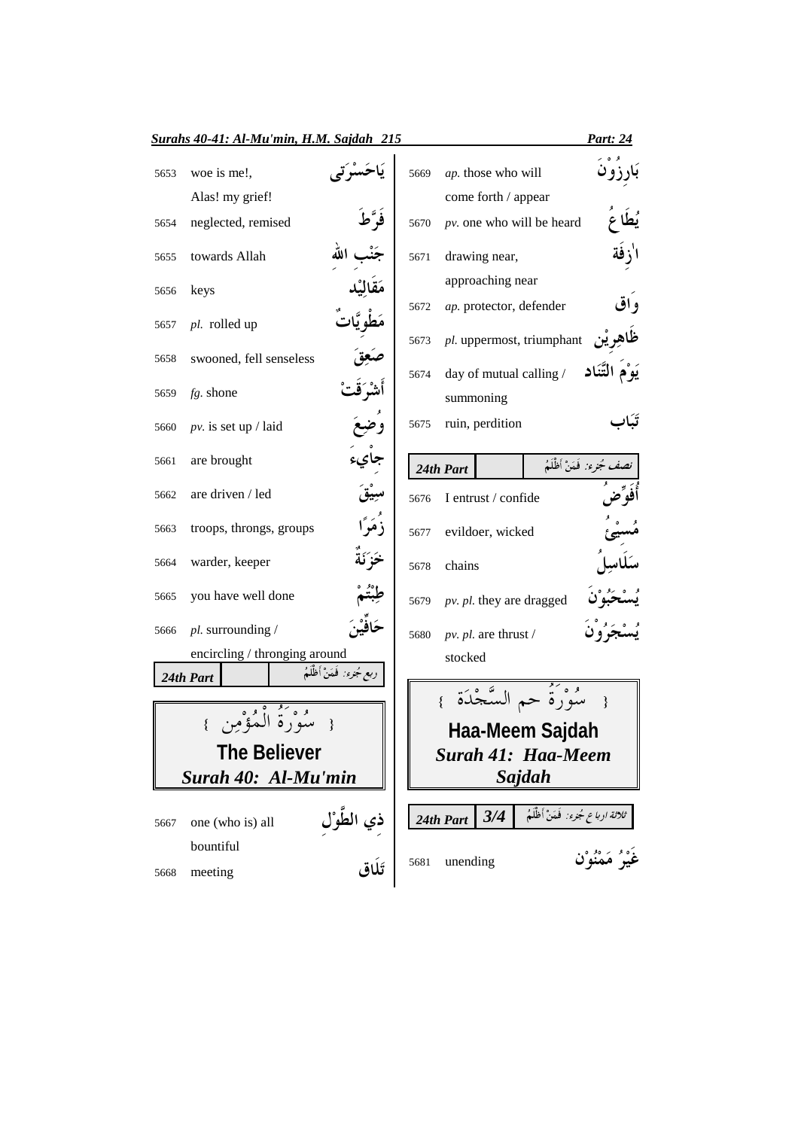|      | Surahs 40-41: Al-Mu'min, H.M. Sajdah 215   |                           |      |                                                  |                                   | <u>Part: 24</u>                 |
|------|--------------------------------------------|---------------------------|------|--------------------------------------------------|-----------------------------------|---------------------------------|
| 5653 | woe is me!,                                |                           | 5669 | ap. those who will                               |                                   |                                 |
| 5654 | Alas! my grief!<br>neglected, remised      |                           | 5670 | come forth / appear<br>pv. one who will be heard |                                   |                                 |
| 5655 | towards Allah                              |                           | 5671 | drawing near,                                    |                                   |                                 |
| 5656 | keys                                       |                           |      | approaching near                                 |                                   |                                 |
| 5657 | pl. rolled up                              |                           | 5672 | ap. protector, defender                          |                                   | و اق                            |
| 5658 | swooned, fell senseless                    |                           | 5673 | pl. uppermost, triumphant                        |                                   |                                 |
| 5659 | $fg.$ shone                                |                           | 5674 | day of mutual calling /<br>summoning             |                                   |                                 |
| 5660 | $pv.$ is set up / laid                     |                           | 5675 | ruin, perdition                                  |                                   |                                 |
| 5661 | are brought                                |                           |      | 24th Part                                        |                                   | <i>نصف جُزء:</i> فَمَنْ أظْلَمُ |
| 5662 | are driven / led                           |                           | 5676 | I entrust / confide                              |                                   |                                 |
| 5663 | troops, throngs, groups                    |                           | 5677 | evildoer, wicked                                 |                                   |                                 |
| 5664 | warder, keeper                             |                           | 5678 | chains                                           |                                   |                                 |
| 5665 | you have well done                         |                           | 5679 | pv. pl. they are dragged                         |                                   |                                 |
| 5666 | pl. surrounding /                          |                           | 5680 | pv. pl. are thrust $/$                           |                                   |                                 |
|      | encircling / thronging around              |                           |      | stocked                                          |                                   |                                 |
|      | 24th Part                                  | ربع مُجزء: فَمَنْ أظْلَمُ |      |                                                  |                                   |                                 |
|      |                                            |                           |      |                                                  |                                   |                                 |
|      |                                            |                           |      | Haa-Meem Sajdah                                  |                                   |                                 |
|      | <b>The Believer</b><br>Surah 40: Al-Mu'min |                           |      | <b>Surah 41: Haa-Meem</b>                        |                                   |                                 |
|      |                                            |                           |      |                                                  | Sajdah                            |                                 |
| 5667 | one (who is) all                           |                           |      | 3/4<br>24th Part                                 | ثلاثة ارباع جُنرء: فَمَنْ أظْلَمُ |                                 |
| 5668 | bountiful<br>meeting                       | ذِي الطَّوْلِ<br>تَلَاق   | 5681 | unending                                         |                                   | غَيْرُ مَمْنُوْن                |
|      |                                            |                           |      |                                                  |                                   |                                 |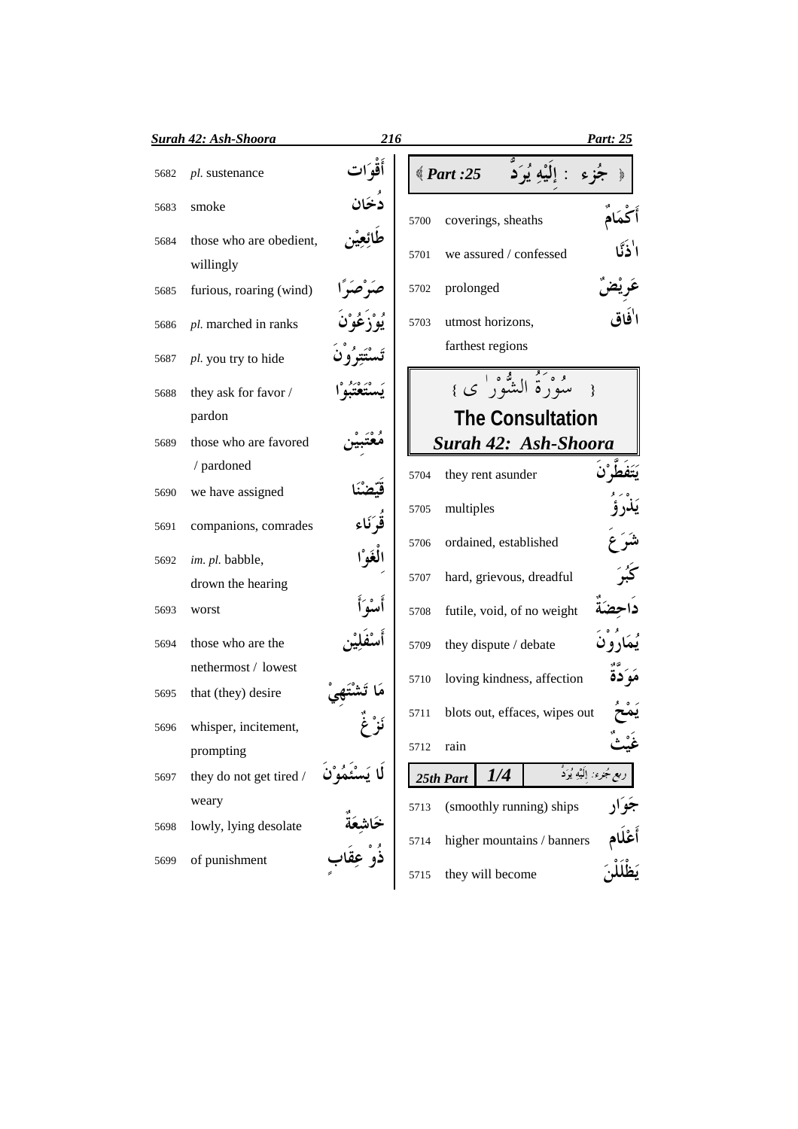|      | Surah 42: Ash-Shoora                 | 216                                  |      |                    |                        |                               | Part: 25                           |
|------|--------------------------------------|--------------------------------------|------|--------------------|------------------------|-------------------------------|------------------------------------|
| 5682 | pl. sustenance                       | أقو ات                               |      | $\langle$ Part :25 |                        |                               |                                    |
| 5683 | smoke                                | دُخَان                               | 5700 |                    | coverings, sheaths     |                               |                                    |
| 5684 | those who are obedient,<br>willingly |                                      | 5701 |                    | we assured / confessed |                               |                                    |
| 5685 | furious, roaring (wind)              | بر صبراً                             | 5702 | prolonged          |                        |                               |                                    |
| 5686 | pl. marched in ranks                 | يُوْ ذِعُوْنَ                        | 5703 |                    | utmost horizons,       |                               |                                    |
| 5687 | pl. you try to hide                  | تَسْتَتِرُو ن                        |      |                    | farthest regions       |                               |                                    |
| 5688 | they ask for favor /                 |                                      |      |                    |                        | مُوْرَةُ الشُّوْرِ' ي }       |                                    |
|      | pardon                               |                                      |      |                    |                        | <b>The Consultation</b>       |                                    |
| 5689 | those who are favored                |                                      |      |                    |                        | Surah 42: Ash-Shoora          |                                    |
|      | / pardoned                           |                                      | 5704 |                    | they rent asunder      |                               |                                    |
| 5690 | we have assigned                     |                                      |      |                    |                        |                               |                                    |
| 5691 | companions, comrades                 | قُوَكَاء                             | 5705 | multiples          |                        |                               |                                    |
| 5692 | im. pl. babble,                      | الْغَوْا                             | 5706 |                    | ordained, established  |                               |                                    |
|      | drown the hearing                    |                                      | 5707 |                    |                        | hard, grievous, dreadful      |                                    |
| 5693 | worst                                |                                      | 5708 |                    |                        | futile, void, of no weight    |                                    |
| 5694 | those who are the                    |                                      | 5709 |                    | they dispute / debate  |                               |                                    |
|      | nethermost / lowest                  |                                      | 5710 |                    |                        | loving kindness, affection    | مَوَكوة                            |
| 5695 | that (they) desire                   |                                      | 5711 |                    |                        | blots out, effaces, wipes out |                                    |
| 5696 | whisper, incitement,                 |                                      |      |                    |                        |                               |                                    |
|      | prompting                            |                                      | 5712 | rain               |                        |                               |                                    |
| 5697 | they do not get tired /              |                                      |      | 25th Part          | 1/4                    |                               | ر <i>بع جُزء:</i> إِلَيْهِ يُرَدُّ |
|      | weary                                |                                      | 5713 |                    |                        | (smoothly running) ships      | ۔<br>جَوَار                        |
| 5698 | lowly, lying desolate                | خَاشِعَة<br>ذُوْ عِقَاد <sub>ِ</sub> | 5714 |                    |                        | higher mountains / banners    | أَعْلَام<br>بَظْلَلْنَ             |
| 5699 | of punishment                        |                                      | 5715 |                    | they will become       |                               |                                    |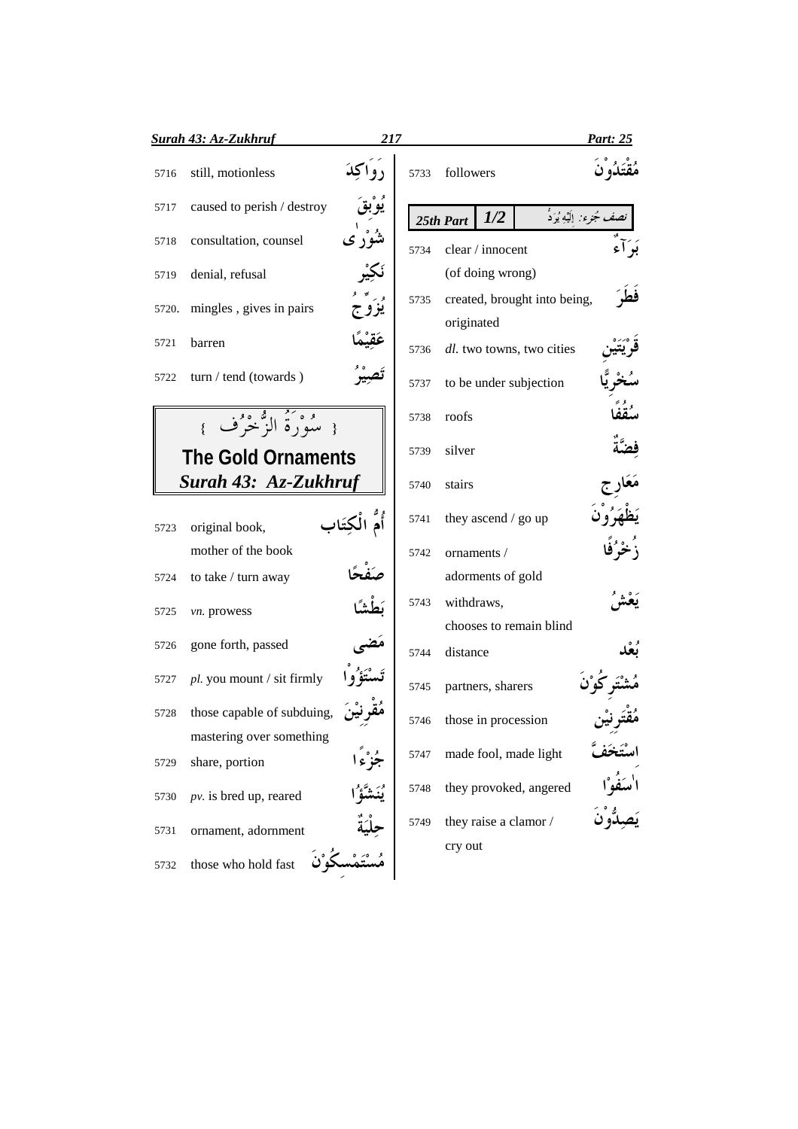|       | Surah 43: Az-Zukhruf         | 217 |      |                                            | Part: 25                   |
|-------|------------------------------|-----|------|--------------------------------------------|----------------------------|
| 5716  | still, motionless            |     | 5733 | followers                                  |                            |
| 5717  | caused to perish / destroy   |     |      | 1/2<br>25th Part                           | نصف مُجرء: ٳلَيْهِ يُوَدُّ |
| 5718  | consultation, counsel        |     | 5734 | clear / innocent                           | بَوَأَء                    |
| 5719  | denial, refusal              |     |      | (of doing wrong)                           |                            |
| 5720. | mingles, gives in pairs      |     | 5735 | created, brought into being,<br>originated | فط                         |
| 5721  | barren                       |     | 5736 | dl. two towns, two cities                  |                            |
| 5722  | turn / tend (towards)        |     | 5737 | to be under subjection                     |                            |
|       | { مِيْهُوْمُ الرَّمْحَرُفِ } |     | 5738 | roofs                                      |                            |
|       | <b>The Gold Ornaments</b>    |     | 5739 | silver                                     |                            |
|       | Surah 43: Az-Zukhruf         |     | 5740 | stairs                                     |                            |
| 5723  | original book,               |     | 5741 | they ascend / go up                        |                            |
|       | mother of the book           |     | 5742 | ornaments /                                |                            |
| 5724  | to take / turn away          |     |      | adorments of gold                          |                            |
| 5725  | vn. prowess                  |     | 5743 | withdraws,                                 |                            |
| 5726  | gone forth, passed           |     |      | chooses to remain blind                    |                            |
|       |                              |     | 5744 | distance                                   |                            |
| 5727  | pl. you mount / sit firmly   |     | 5745 | partners, sharers                          |                            |
| 5728  | those capable of subduing,   |     | 5746 | those in procession                        |                            |
|       | mastering over something     |     | 5747 | made fool, made light                      |                            |
| 5729  | share, portion               |     |      | they provoked, angered                     |                            |
| 5730  | $pv.$ is bred up, reared     |     | 5748 |                                            |                            |
| 5731  | ornament, adornment          |     | 5749 | they raise a clamor /                      |                            |
| 5732  | those who hold fast          |     |      | cry out                                    |                            |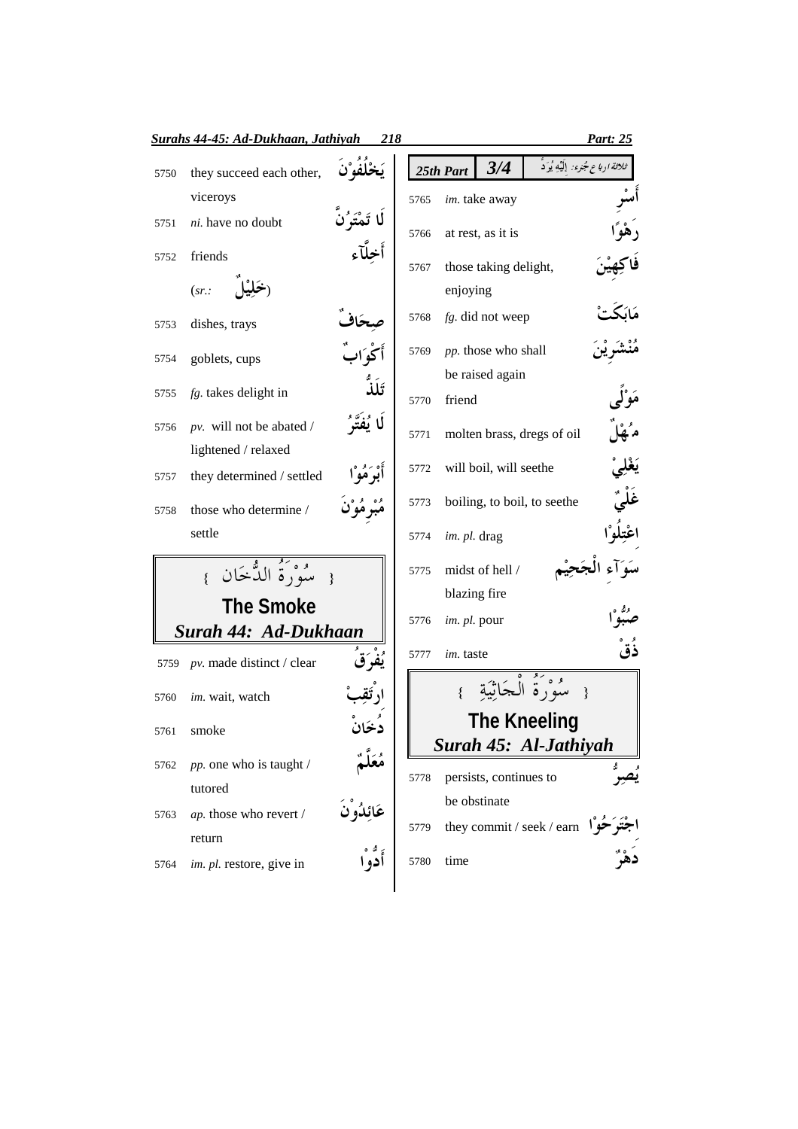|      | <b>Surahs 44-45: Ad-Dukhaan, Jathiyah</b>         | <u>218</u>      |      |              |                        |                                      | Part: 25                                               |
|------|---------------------------------------------------|-----------------|------|--------------|------------------------|--------------------------------------|--------------------------------------------------------|
| 5750 | they succeed each other,                          |                 |      | 25th Part    | 3/4                    |                                      | <i>ثلاثة ا<sub>ل</sub>باع جُمْوء:</i> إِلَيْهِ يُوَدُّ |
|      | viceroys                                          |                 | 5765 |              | im. take away          |                                      |                                                        |
| 5751 | ni. have no doubt                                 |                 | 5766 |              | at rest, as it is      |                                      |                                                        |
| 5752 | friends                                           |                 |      |              |                        |                                      |                                                        |
|      | (sr.                                              |                 | 5767 | enjoying     | those taking delight,  |                                      |                                                        |
| 5753 | dishes, trays                                     |                 | 5768 |              | fg. did not weep       |                                      |                                                        |
| 5754 | goblets, cups                                     |                 | 5769 |              | pp. those who shall    |                                      |                                                        |
| 5755 | fg. takes delight in                              | تَلَذُّ         |      |              | be raised again        |                                      |                                                        |
|      |                                                   |                 | 5770 | friend       |                        |                                      |                                                        |
| 5756 | $pv.$ will not be abated /<br>lightened / relaxed | لَا يُفَتَّهُ ُ | 5771 |              |                        | molten brass, dregs of oil           |                                                        |
| 5757 | they determined / settled                         |                 | 5772 |              | will boil, will seethe |                                      |                                                        |
| 5758 | those who determine /                             |                 | 5773 |              |                        | boiling, to boil, to seethe          |                                                        |
|      | settle                                            |                 | 5774 | im. pl. drag |                        |                                      |                                                        |
|      | سُوْرَةُ الدُّخَانِ<br>$\left\{ \right.$          |                 | 5775 |              | midst of hell /        |                                      |                                                        |
|      | <b>The Smoke</b>                                  |                 |      |              | blazing fire           |                                      |                                                        |
|      | Surah 44: Ad-Dukhaan                              |                 | 5776 | im. pl. pour |                        |                                      |                                                        |
| 5759 | pv. made distinct / clear                         |                 | 5777 | im. taste    |                        |                                      | ذَقْ                                                   |
| 5760 | im. wait, watch                                   |                 |      |              |                        | سُوْرَةُ الْجَاثَيَة                 |                                                        |
|      | 5761 smoke                                        |                 |      |              |                        | <b>The Kneeling</b>                  |                                                        |
|      |                                                   |                 |      |              |                        | Surah 45: Al-Jathiyah                |                                                        |
| 5762 | pp. one who is taught /                           |                 | 5778 |              | persists, continues to |                                      |                                                        |
|      | tutored                                           |                 |      |              | be obstinate           |                                      |                                                        |
| 5763 | ap. those who revert /                            | عَائِدُوْنَ     | 5779 |              |                        | they commit / seek / earn $\sqrt{ }$ |                                                        |
|      | return<br>im. pl. restore, give in                | أدو ا           | 5780 | time         |                        |                                      |                                                        |
| 5764 |                                                   |                 |      |              |                        |                                      |                                                        |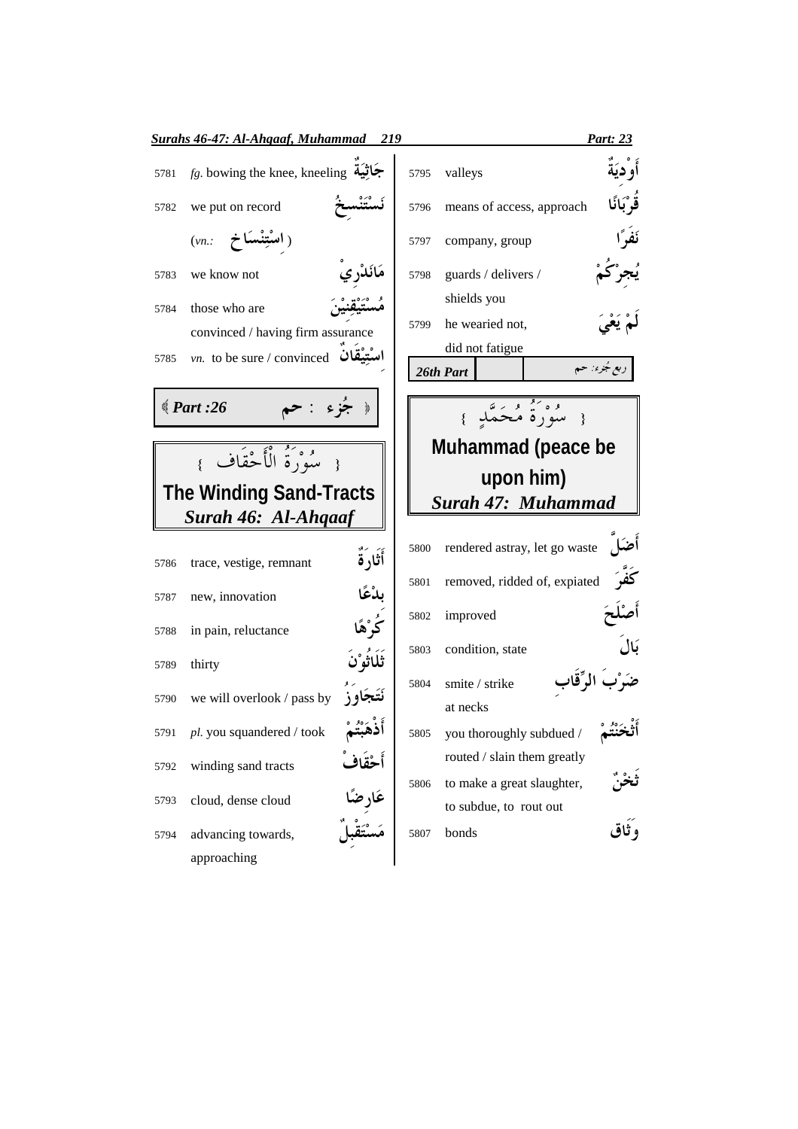|      | <b>Surahs 46-47: Al-Ahgaaf, Muhammad</b>                                          | 219                   |      |                                                       | Part: 23     |
|------|-----------------------------------------------------------------------------------|-----------------------|------|-------------------------------------------------------|--------------|
| 5781 | $fg$ . bowing the knee, kneeling جَاثِيَة                                         |                       | 5795 | valleys                                               |              |
| 5782 | we put on record                                                                  |                       | 5796 | means of access, approach                             | قَوْ بَانًا  |
|      | (اسْتِنْسَاخ (vn.:                                                                |                       | 5797 | company, group                                        |              |
| 5783 | we know not                                                                       |                       | 5798 | guards / delivers /                                   |              |
| 5784 | those who are<br>convinced / having firm assurance                                |                       | 5799 | shields you<br>he wearied not,                        |              |
| 5785 | $vn.$ to be sure / convinced                                                      |                       |      | did not fatigue<br>26th Part                          | ربع جُزء: حم |
|      | $\text{\textdegree}$ Part :26                                                     |                       |      | وُوَيُّهُ مُرَسَّدٍ }                                 |              |
|      | { سُوْرَةُ الْأَجْقَاف }<br><b>The Winding Sand-Tracts</b><br>Surah 46: Al-Ahqaaf |                       |      | Muhammad (peace be<br>upon him)<br>Surah 47: Muhammad |              |
| 5786 | trace, vestige, remnant                                                           | أَثَارَةٌ             | 5800 | rendered astray, let go waste                         |              |
| 5787 | new, innovation                                                                   | بدْعًا                | 5801 | removed, ridded of, expiated                          |              |
| 5788 | in pain, reluctance                                                               | <b>كُرْهًا</b>        | 5802 | improved                                              |              |
| 5789 | thirty                                                                            | ثَلَاثُو ْنَ          | 5803 | condition, state                                      | بَال         |
| 5790 | we will overlook / pass by                                                        |                       | 5804 | smite / strike<br>at necks                            |              |
|      | 5791 pl. you squandered / took                                                    |                       |      | 5805 you thoroughly subdued /                         |              |
| 5792 | winding sand tracts                                                               |                       |      | routed / slain them greatly                           |              |
| 5793 | cloud, dense cloud                                                                | أَحْقَافُ<br>عَارِضًا | 5806 | to make a great slaughter,<br>to subdue, to rout out  |              |
| 5794 | advancing towards,                                                                |                       | 5807 | bonds                                                 |              |
|      | approaching                                                                       |                       |      |                                                       |              |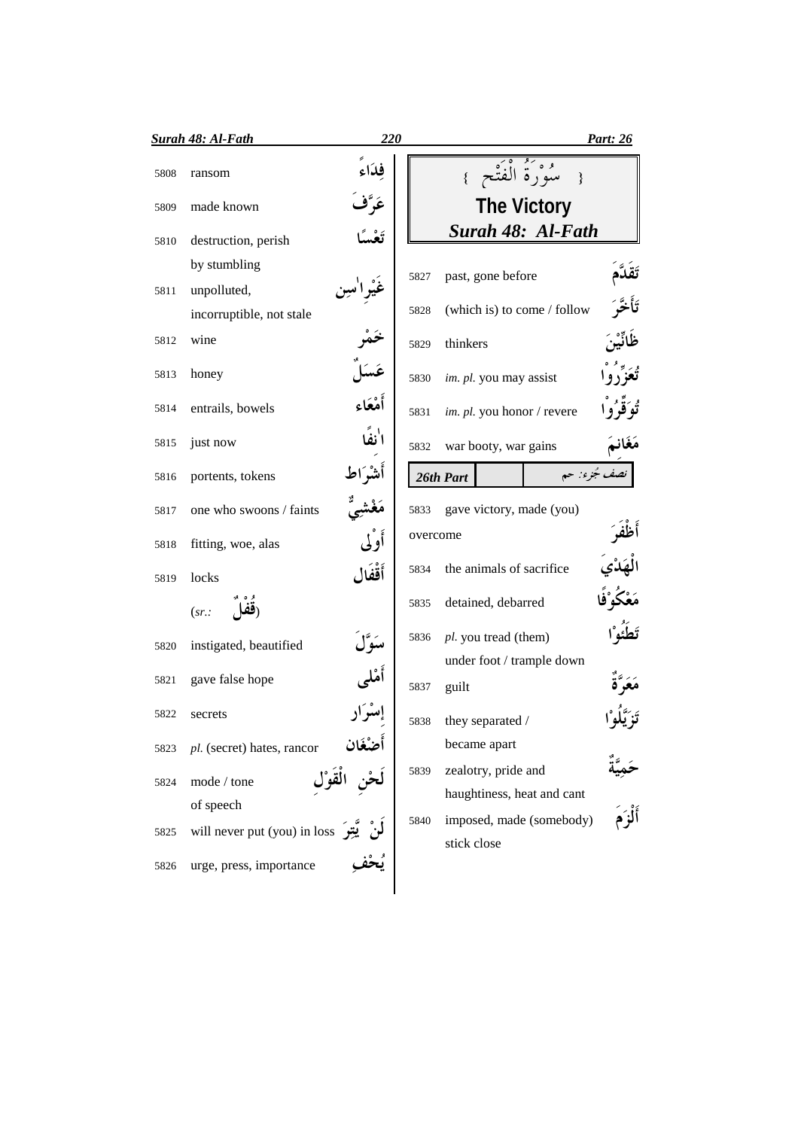|      | <b>Surah 48: Al-Fath</b>            | 220      |          |                                         | Part: 26      |
|------|-------------------------------------|----------|----------|-----------------------------------------|---------------|
| 5808 | ransom                              | فلأاء    |          | { سُوْرَةُ الْفَتْحِ }                  |               |
| 5809 | made known                          |          |          | <b>The Victory</b>                      |               |
| 5810 | destruction, perish                 |          |          | Surah 48: Al-Fath                       |               |
|      | by stumbling                        |          | 5827     | past, gone before                       |               |
| 5811 | unpolluted,                         |          |          |                                         |               |
|      | incorruptible, not stale            |          | 5828     | (which is) to come / follow             |               |
| 5812 | wine                                |          | 5829     | thinkers                                |               |
| 5813 | honey                               |          | 5830     | im. pl. you may assist                  |               |
| 5814 | entrails, bowels                    | أمْعَاء  | 5831     | im. pl. you honor / revere              |               |
| 5815 | just now                            |          | 5832     | war booty, war gains                    |               |
| 5816 | portents, tokens                    | اشگاط    |          | 26th Part                               | نصف جُزء: حم  |
| 5817 | one who swoons / faints             |          | 5833     | gave victory, made (you)                |               |
| 5818 | fitting, woe, alas                  | أوْلى    | overcome |                                         |               |
| 5819 | locks                               | أَقْفَال | 5834     | the animals of sacrifice                |               |
|      | (ففا<br>(sr.                        |          | 5835     | detained, debarred                      |               |
| 5820 | instigated, beautified              |          | 5836     | pl. you tread (them)                    |               |
|      |                                     |          |          | under foot / trample down               |               |
| 5821 | gave false hope                     |          | 5837     | guilt                                   |               |
| 5822 | secrets                             |          | 5838     | they separated /                        |               |
| 5823 | pl. (secret) hates, rancor          |          |          | became apart                            |               |
| 5824 | mode / tone                         | الْقَوْا | 5839     | zealotry, pride and                     |               |
|      | of speech                           |          |          | haughtiness, heat and cant              | ء<br>أَلْزَمَ |
| 5825 | will never put (you) in loss يَتِسَ |          | 5840     | imposed, made (somebody)<br>stick close |               |
| 5826 | urge, press, importance             |          |          |                                         |               |
|      |                                     |          |          |                                         |               |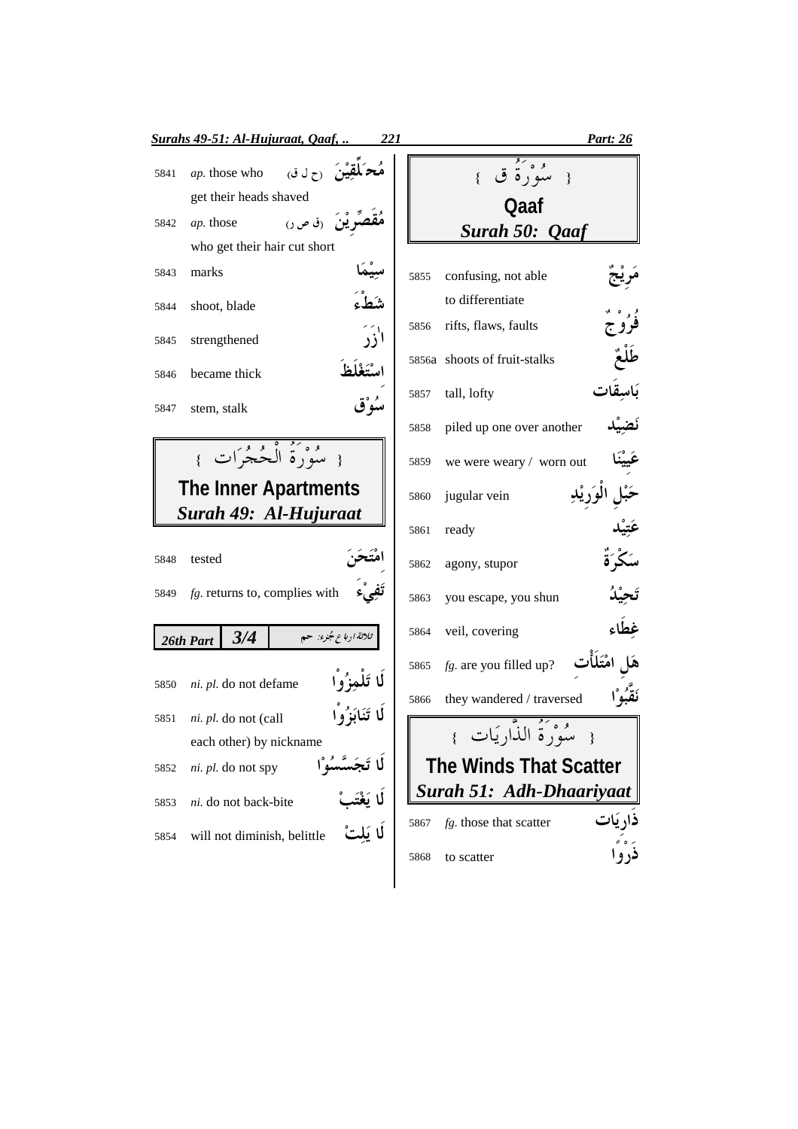|              | <b>Surahs 49-51: Al-Hujuraat, Qaaf,</b><br>221                     |      |                                         | Part: 26 |
|--------------|--------------------------------------------------------------------|------|-----------------------------------------|----------|
| 5841         | ين <sub>ن</sub> رح ل ق)<br>ap. those who<br>get their heads shaved |      | مُوَكَّهُ ق }                           |          |
| 5842         | نئ (ق ص ر)<br>ap. those<br>who get their hair cut short            |      | Qaaf<br>Surah 50: Qaaf                  |          |
| 5843         | marks                                                              | 5855 | confusing, not able<br>to differentiate |          |
| 5844         | shoot, blade<br>آزر                                                | 5856 | rifts, flaws, faults                    |          |
| 5845<br>5846 | strengthened<br>يتغلظ<br>became thick                              |      | 5856a shoots of fruit-stalks            |          |
| 5847         | سُوْق<br>stem, stalk                                               | 5857 | tall, lofty                             |          |
|              |                                                                    | 5858 | piled up one over another               |          |
|              | { سُوْرَةُ الْجُجْرَاتِ }                                          | 5859 | we were weary / worn out                |          |
|              | <b>The Inner Apartments</b><br>Surah 49: Al-Hujuraat               | 5860 | jugular vein                            |          |
|              |                                                                    | 5861 | ready                                   |          |
| 5848         | tested                                                             | 5862 | agony, stupor                           |          |
| 5849         | $fg$ . returns to, complies with                                   | 5863 | you escape, you shun                    |          |
|              | 3/4<br>ثلاثة ارباع جُنوء: حم<br>26th Part                          | 5864 | veil, covering                          | غطاء     |
| 5850         | لما تَلْمَنُوا<br>ni. pl. do not defame                            | 5865 | $fg$ . are you filled up?               |          |
| 5851         | ni. pl. do not (call                                               | 5866 | they wandered / traversed               |          |
|              | each other) by nickname                                            |      | { سُوْرَةُ الذَّارِيَات }               |          |
| 5852         | ni. pl. do not spy                                                 |      | <b>The Winds That Scatter</b>           |          |
| 5853         | ni. do not back-bite                                               |      | Surah 51: Adh-Dhaariyaat                |          |
| 5854         | لا مَلْدُ<br>will not diminish, belittle                           | 5867 | fg. those that scatter                  |          |
|              |                                                                    | 5868 | to scatter                              |          |
|              |                                                                    |      |                                         |          |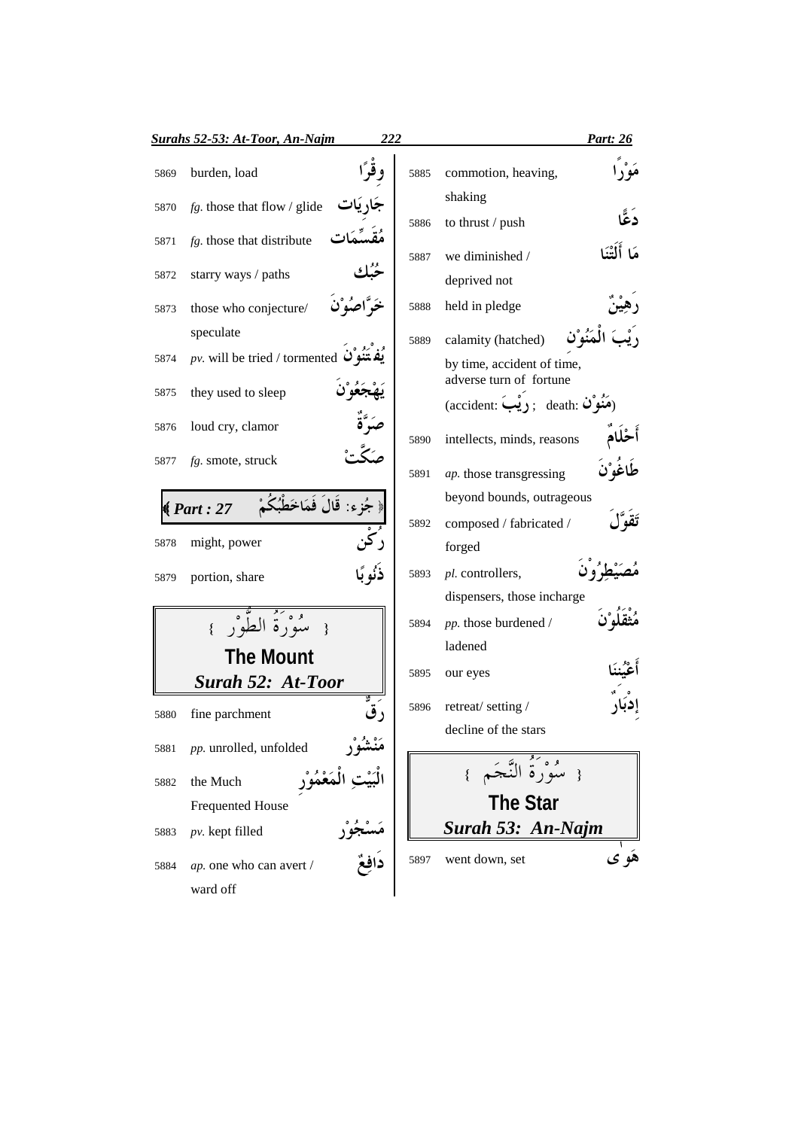|      | <u> Surahs 52-53: At-Toor, An-Najm</u>        | 222 |      |                                                                  | Part: 26      |
|------|-----------------------------------------------|-----|------|------------------------------------------------------------------|---------------|
| 5869 | burden, load                                  |     | 5885 | commotion, heaving,                                              |               |
| 5870 | $fg$ . those that flow / glide                |     |      | shaking                                                          | دُعٌ          |
| 5871 | fg. those that distribute                     |     | 5886 | to thrust / push                                                 |               |
|      |                                               |     | 5887 | we diminished /                                                  | هَا أَلْتَنَا |
| 5872 | starry ways / paths                           |     |      | deprived not                                                     |               |
| 5873 | those who conjecture/                         |     | 5888 | held in pledge                                                   |               |
|      | speculate                                     |     | 5889 | calamity (hatched)                                               |               |
| 5874 | pv. will be tried / tormented $\tilde{Q}$     |     |      | by time, accident of time,                                       |               |
| 5875 | they used to sleep                            |     |      | adverse turn of fortune<br>(accident: دِیْبَ); death: (accident) |               |
| 5876 | loud cry, clamor                              |     |      |                                                                  |               |
|      |                                               |     | 5890 | intellects, minds, reasons                                       |               |
| 5877 | $fg.$ smote, struck                           |     | 5891 | ap. those transgressing                                          |               |
|      | جُزِء: قَالَ فَمَاخَطْبُُ<br>$\sqrt{Part:27}$ |     |      | beyond bounds, outrageous                                        |               |
|      |                                               |     | 5892 | composed / fabricated /                                          |               |
| 5878 | might, power                                  |     |      | forged                                                           |               |
| 5879 | portion, share                                |     | 5893 | pl. controllers,                                                 |               |
|      |                                               |     |      | dispensers, those incharge                                       |               |
|      | مْنْ وَرَةُ الطُّوْر                          |     | 5894 | pp. those burdened /<br>ladened                                  |               |
|      | <b>The Mount</b>                              |     | 5895 | our eyes                                                         |               |
|      | <b>Surah 52: At-Toor</b>                      |     |      |                                                                  |               |
| 5880 | fine parchment                                |     | 5896 | retreat/setting/                                                 |               |
| 5881 | pp. unrolled, unfolded                        |     |      | decline of the stars                                             |               |
| 5882 | the Much                                      |     |      | { سُوْرَةُ النَّجَم                                              |               |
|      | <b>Frequented House</b>                       |     |      | <b>The Star</b>                                                  |               |
| 5883 | $pv.$ kept filled                             |     |      | Surah 53: An-Najm                                                |               |
| 5884 | ap. one who can avert /                       |     | 5897 | went down, set                                                   | هُو ي         |
|      | ward off                                      |     |      |                                                                  |               |
|      |                                               |     |      |                                                                  |               |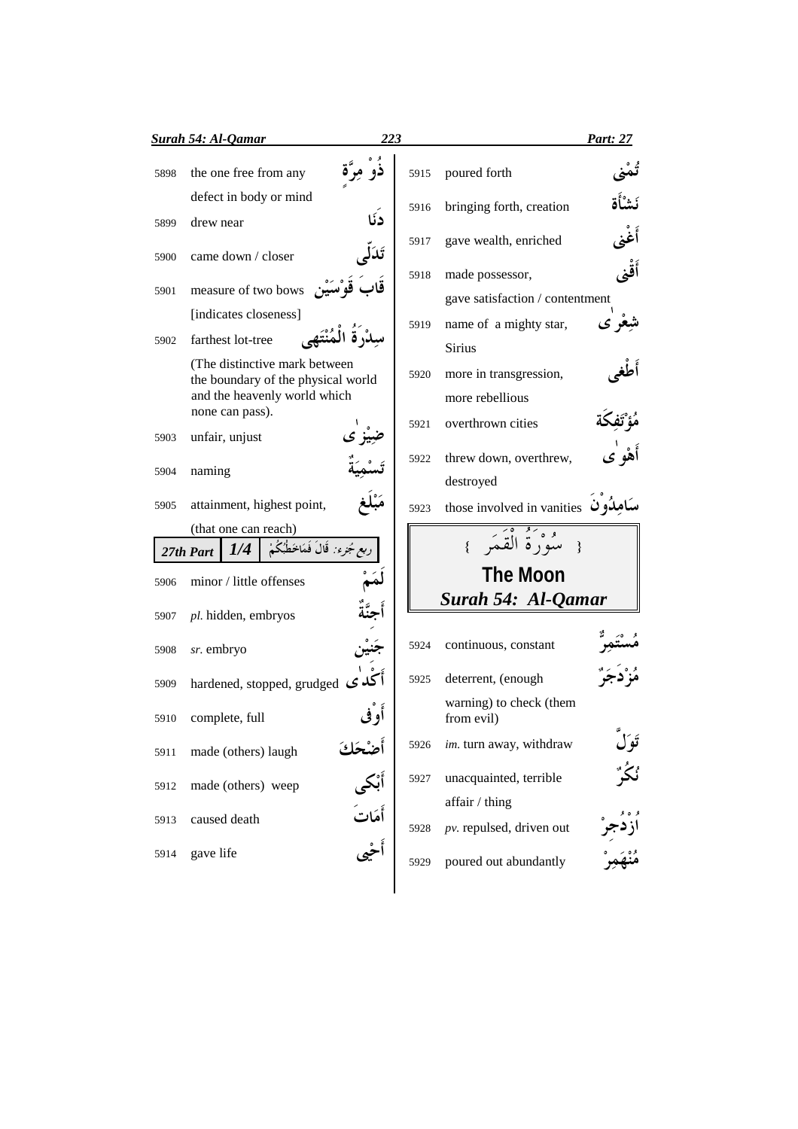|      | <b>Surah 54: Al-Qamar</b>                                           | 223                           |      |                                       | <b>Part: 27</b> |
|------|---------------------------------------------------------------------|-------------------------------|------|---------------------------------------|-----------------|
| 5898 | the one free from any                                               |                               | 5915 | poured forth                          |                 |
|      | defect in body or mind                                              | دنًا                          | 5916 | bringing forth, creation              |                 |
| 5899 | drew near                                                           |                               | 5917 | gave wealth, enriched                 |                 |
| 5900 | came down / closer                                                  | تَدَلى                        | 5918 | made possessor,                       |                 |
| 5901 | تَقَابَ قَوْسَيْنِ measure of two bows                              |                               |      | gave satisfaction / contentment       |                 |
|      | [indicates closeness]                                               |                               | 5919 | name of a mighty star,                |                 |
| 5902 | farthest lot-tree                                                   |                               |      | <b>Sirius</b>                         |                 |
|      | (The distinctive mark between<br>the boundary of the physical world |                               | 5920 | more in transgression,                |                 |
|      | and the heavenly world which                                        |                               |      | more rebellious                       |                 |
|      | none can pass).                                                     |                               |      |                                       |                 |
| 5903 | unfair, unjust                                                      |                               | 5921 | overthrown cities                     |                 |
| 5904 | naming                                                              |                               | 5922 | threw down, overthrew,                | أَهْو ٰی        |
|      |                                                                     |                               |      | destroyed                             |                 |
| 5905 | attainment, highest point,                                          |                               | 5923 | those involved in vanities نامِدُون   |                 |
|      | (that one can reach)                                                |                               |      |                                       |                 |
|      | ربع جُزء : قَالَ فَمَاخَطُبُكُمْ<br>1/4<br>27th Part                |                               |      | مُدُّرَةُ الْقَمَر                    |                 |
| 5906 | minor / little offenses                                             |                               |      | <b>The Moon</b>                       |                 |
| 5907 | pl. hidden, embryos                                                 |                               |      | Surah 54: Al-Qamar                    |                 |
| 5908 | sr. embryo                                                          |                               | 5924 | continuous, constant                  |                 |
| 5909 | hardened, stopped, grudged $\mathcal{G}$                            |                               | 5925 | deterrent, (enough                    |                 |
| 5910 | complete, full                                                      |                               |      | warning) to check (them<br>from evil) |                 |
| 5911 | made (others) laugh                                                 | أَضْحَكَ<br>أَبْكى<br>أَهَاتَ | 5926 | im. turn away, withdraw               | تَوَلُّ         |
| 5912 | made (others) weep                                                  |                               | 5927 | unacquainted, terrible                | ؠ۫ػؙڒ           |
|      |                                                                     |                               |      | affair / thing                        |                 |
| 5913 | caused death                                                        |                               | 5928 | $pv.$ repulsed, driven out            |                 |
| 5914 | gave life                                                           |                               | 5929 | poured out abundantly                 |                 |
|      |                                                                     |                               |      |                                       |                 |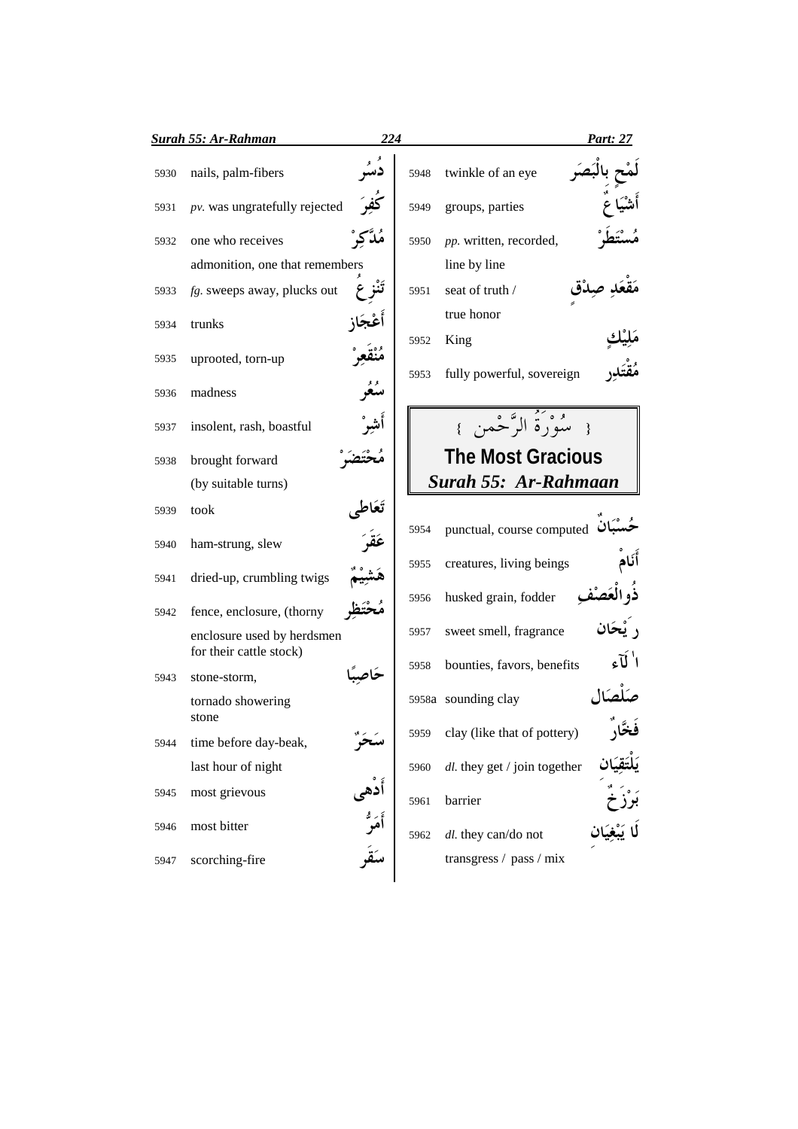|      | Surah 55: Ar-Rahman                                   | 224        |      |                                               | Part: 27 |
|------|-------------------------------------------------------|------------|------|-----------------------------------------------|----------|
| 5930 | nails, palm-fibers                                    |            | 5948 | twinkle of an eye                             |          |
| 5931 | pv. was ungratefully rejected                         |            | 5949 | groups, parties                               |          |
| 5932 | one who receives                                      | مَدَّكَّرٌ | 5950 | pp. written, recorded,                        |          |
|      | admonition, one that remembers                        |            |      | line by line                                  |          |
| 5933 | fg. sweeps away, plucks out                           |            | 5951 | seat of truth /                               |          |
| 5934 | trunks                                                |            |      | true honor                                    |          |
| 5935 | uprooted, torn-up                                     |            | 5952 | King                                          |          |
| 5936 | madness                                               | معر        | 5953 | fully powerful, sovereign                     |          |
| 5937 | insolent, rash, boastful                              | أشر°       |      | { مَيْهُمْ الرَّحْمِنِ }                      |          |
| 5938 | brought forward                                       |            |      | <b>The Most Gracious</b>                      |          |
|      | (by suitable turns)                                   |            |      | Surah 55: Ar-Rahmaan                          |          |
| 5939 | took                                                  |            | 5954 | punctual, course computed $\ddot{\mathbf{u}}$ |          |
| 5940 | ham-strung, slew                                      |            |      |                                               |          |
| 5941 | dried-up, crumbling twigs                             |            | 5955 | creatures, living beings                      |          |
| 5942 | fence, enclosure, (thorny                             |            | 5956 | husked grain, fodder                          | ذه العصف |
|      | enclosure used by herdsmen<br>for their cattle stock) |            | 5957 | sweet smell, fragrance                        |          |
| 5943 | stone-storm,                                          |            | 5958 | bounties, favors, benefits                    | ا لآء    |
|      | tornado showering<br>stone                            |            |      | 5958a sounding clay                           |          |
| 5944 | time before day-beak,                                 |            | 5959 | clay (like that of pottery)                   |          |
|      | last hour of night                                    |            | 5960 | $dl$ . they get / join together               |          |
| 5945 | most grievous                                         |            | 5961 | barrier                                       |          |
| 5946 | most bitter                                           |            | 5962 | dl. they can/do not                           |          |
| 5947 | scorching-fire                                        |            |      | transgress / pass / mix                       |          |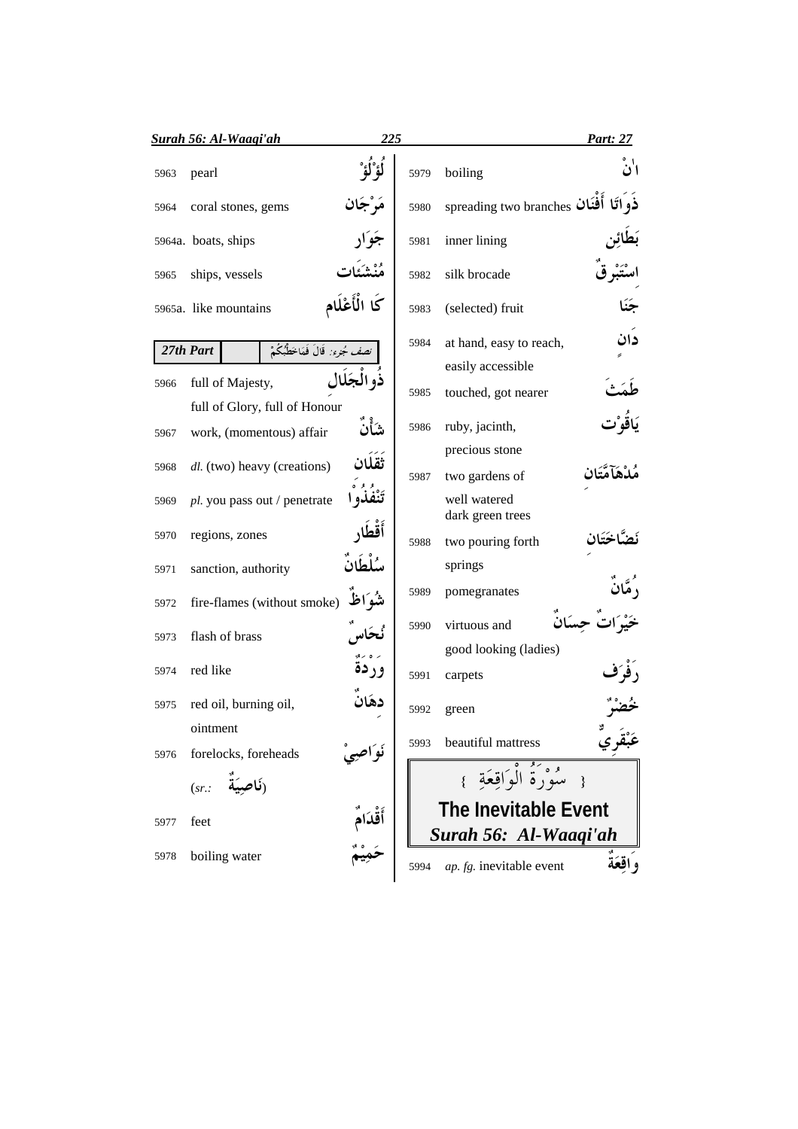|      | <u>Surah 56: Al-Waaqi'ah</u>                         | 225           |      |                                                   | Part: 27 |
|------|------------------------------------------------------|---------------|------|---------------------------------------------------|----------|
| 5963 | pearl                                                |               | 5979 | boiling                                           | اٰنۡ     |
| 5964 | coral stones, gems                                   |               | 5980 | spreading two branches أفَغَان                    | ذو اتًا  |
|      | 5964a. boats, ships                                  |               | 5981 | inner lining                                      |          |
| 5965 | ships, vessels                                       |               | 5982 | silk brocade                                      |          |
|      | 5965a. like mountains                                | كَا الْأَعْلَ | 5983 | (selected) fruit                                  |          |
|      | <i>نصف جُزِء:</i> قَالَ فَمَاخَطُبُكُمْ<br>27th Part |               | 5984 | at hand, easy to reach,                           | دان      |
| 5966 | full of Majesty,<br>full of Glory, full of Honour    |               | 5985 | easily accessible<br>touched, got nearer          |          |
| 5967 | work, (momentous) affair                             | شأنٌ          | 5986 | ruby, jacinth,                                    |          |
| 5968 | dl. (two) heavy (creations)                          | ثَقَلَان      | 5987 | precious stone<br>two gardens of                  |          |
| 5969 | pl. you pass out / penetrate                         |               |      | well watered<br>dark green trees                  |          |
| 5970 | regions, zones                                       | أقطا          | 5988 | two pouring forth                                 |          |
| 5971 | sanction, authority                                  | سُلْطَانَ     |      | springs                                           |          |
| 5972 | fire-flames (without smoke)                          | شُوَاظ        | 5989 | pomegranates                                      |          |
| 5973 | flash of brass                                       |               | 5990 | virtuous and<br>good looking (ladies)             |          |
| 5974 | red like                                             | وردة          | 5991 | carpets                                           |          |
| 5975 | red oil, burning oil,                                | دهَان         | 5992 | green                                             |          |
|      | ointment                                             |               | 5993 | beautiful mattress                                | عَبْقري  |
| 5976 | forelocks, foreheads<br>(نَاصِيَةٌ<br>(sr.           | نواصه         |      | { سُوْرَةُ الْوَاقِعَةِ }                         |          |
| 5977 | feet                                                 | أَقْدَام      |      | <b>The Inevitable Event</b>                       |          |
| 5978 | boiling water                                        |               | 5994 | Surah 56: Al-Waaqi'ah<br>ap. fg. inevitable event | واقعَةُ  |
|      |                                                      |               |      |                                                   |          |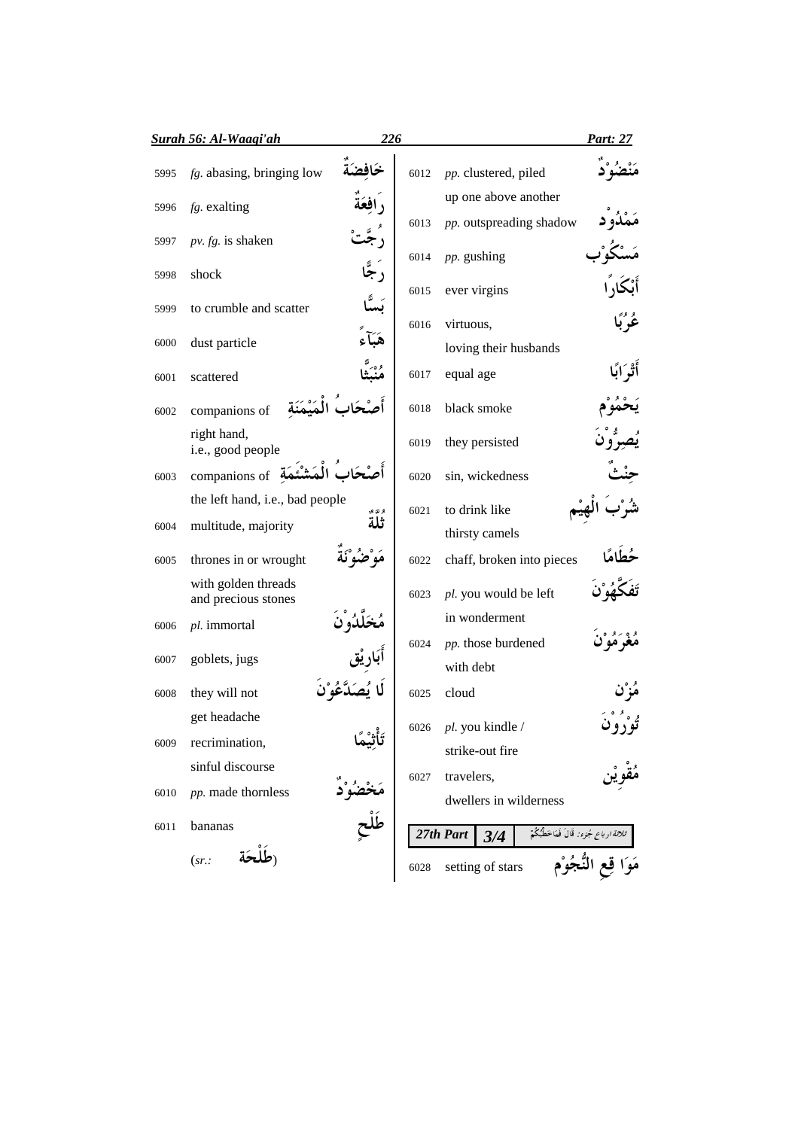|      | Surah 56: Al-Waagi'ah                      | 226    |      |                           |                                                | Part: 27 |
|------|--------------------------------------------|--------|------|---------------------------|------------------------------------------------|----------|
| 5995 | $fg$ . abasing, bringing low               |        | 6012 | pp. clustered, piled      |                                                |          |
| 5996 | fg. exalting                               |        |      | up one above another      |                                                |          |
| 5997 | pv. fg. is shaken                          |        | 6013 | pp. outspreading shadow   |                                                |          |
|      |                                            |        | 6014 | pp. gushing               |                                                |          |
| 5998 | shock                                      | ر جا   | 6015 | ever virgins              |                                                |          |
| 5999 | to crumble and scatter                     |        | 6016 | virtuous,                 |                                                |          |
| 6000 | dust particle                              |        |      | loving their husbands     |                                                |          |
| 6001 | scattered                                  |        | 6017 | equal age                 |                                                |          |
|      |                                            |        |      | black smoke               |                                                |          |
| 6002 | companions of<br>right hand,               |        | 6018 |                           |                                                |          |
|      | i.e., good people                          |        | 6019 | they persisted            |                                                |          |
| 6003 | companions of $\ddot{A}$                   |        | 6020 | sin, wickedness           |                                                |          |
|      | the left hand, i.e., bad people            | و ت و. | 6021 | to drink like             |                                                |          |
| 6004 | multitude, majority                        | ثلة    |      | thirsty camels            |                                                |          |
| 6005 | thrones in or wrought                      |        | 6022 | chaff, broken into pieces |                                                |          |
|      | with golden threads<br>and precious stones |        | 6023 | pl. you would be left     |                                                |          |
| 6006 | pl. immortal                               |        |      | in wonderment             |                                                |          |
| 6007 | goblets, jugs                              |        | 6024 | pp. those burdened        |                                                |          |
|      |                                            |        |      | with debt                 |                                                |          |
| 6008 | they will not                              |        | 6025 | cloud                     |                                                |          |
| 6009 | get headache<br>recrimination,             |        | 6026 | pl. you kindle /          |                                                |          |
|      | sinful discourse                           |        |      | strike-out fire           |                                                |          |
| 6010 | pp. made thornless                         |        | 6027 | travelers,                |                                                |          |
|      |                                            |        |      | dwellers in wilderness    |                                                |          |
| 6011 | bananas                                    |        |      | 27th Part<br>3/4          | <i>ثلاثة ارباع جُزء:</i> قَالَ فَمَاخَطُبُكُمْ |          |
|      | (sr.                                       |        | 6028 | setting of stars          |                                                |          |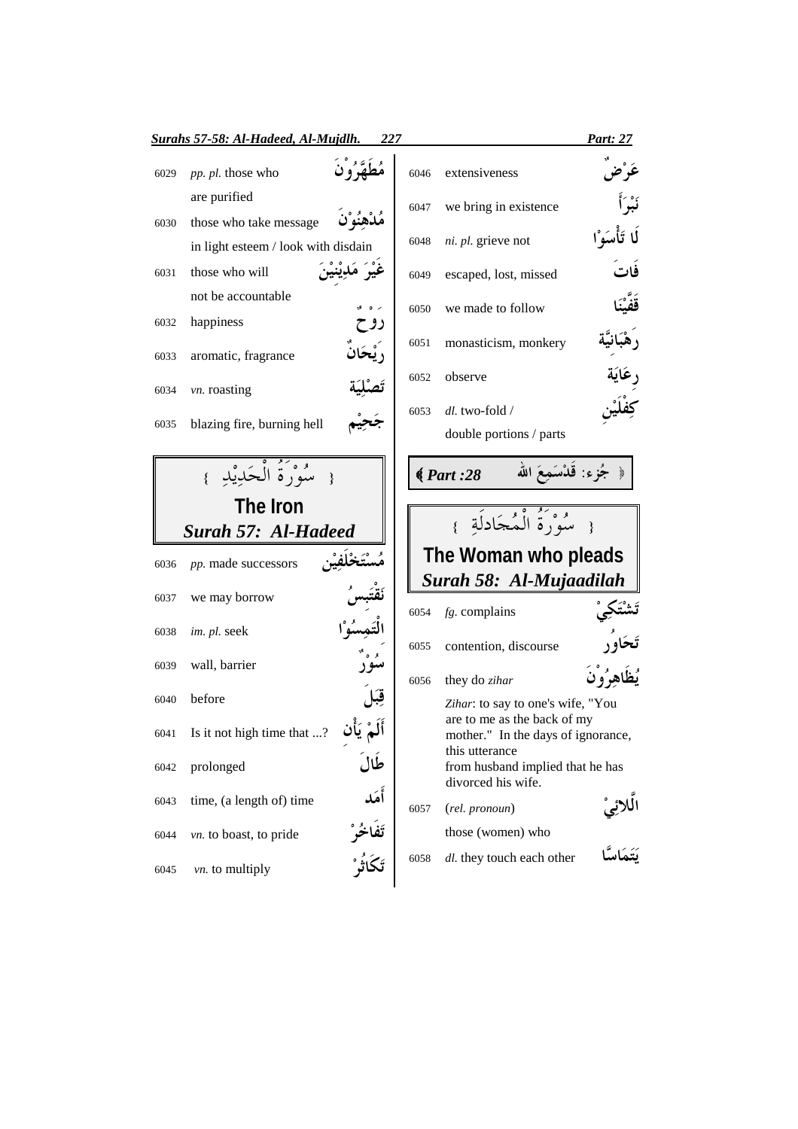|                                      | Surahs 57-58: Al-Hadeed, Al-Mujdlh.                              | 227 |      |                                                                          | <b>Part: 27</b> |
|--------------------------------------|------------------------------------------------------------------|-----|------|--------------------------------------------------------------------------|-----------------|
| 6029                                 | pp. pl. those who                                                |     | 6046 | extensiveness                                                            |                 |
|                                      | are purified                                                     |     | 6047 | we bring in existence                                                    |                 |
| 6030                                 | those who take message                                           |     |      |                                                                          |                 |
|                                      | in light esteem / look with disdain                              |     | 6048 | ni. pl. grieve not                                                       |                 |
| 6031                                 | those who will                                                   |     | 6049 | escaped, lost, missed                                                    |                 |
|                                      | not be accountable                                               |     | 6050 | we made to follow                                                        |                 |
| 6032                                 | happiness                                                        | روح |      |                                                                          |                 |
| 6033                                 | aromatic, fragrance                                              |     | 6051 | monasticism, monkery                                                     |                 |
|                                      |                                                                  |     | 6052 | observe                                                                  |                 |
| 6034                                 | vn. roasting                                                     |     | 6053 | dl. two-fold /                                                           |                 |
| 6035                                 | blazing fire, burning hell                                       |     |      | double portions / parts                                                  |                 |
|                                      | مْدُوَنَهُ الْحَدِيْدِ<br>The Iron<br><b>Surah 57: Al-Hadeed</b> |     |      | جُزِء: قَدْسَمِعَ الله<br>$\big( Part: 28$<br>سُوَرَةُ الْمُجَادِلَةِ }  |                 |
| 6036                                 | pp. made successors                                              |     |      | The Woman who pleads                                                     |                 |
|                                      | we may borrow                                                    |     |      | Surah 58: Al-Mujaadilah                                                  |                 |
|                                      |                                                                  |     | 6054 | $fg$ . complains                                                         |                 |
|                                      | im. pl. seek                                                     |     | 6055 | contention, discourse                                                    |                 |
|                                      | wall, barrier                                                    |     | 6056 | they do zihar                                                            |                 |
|                                      | before                                                           |     |      | Zihar: to say to one's wife, "You                                        | يُظَاهِرُونَ    |
| 6037<br>6038<br>6039<br>6040<br>6041 | Is it not high time that ?                                       |     |      | are to me as the back of my<br>mother." In the days of ignorance,        |                 |
|                                      | prolonged                                                        |     |      | this utterance<br>from husband implied that he has<br>divorced his wife. |                 |
|                                      | time, (a length of) time                                         | أهك | 6057 | (rel. pronoun)                                                           |                 |
| 6042<br>6043<br>6044                 | vn. to boast, to pride                                           |     |      | those (women) who                                                        |                 |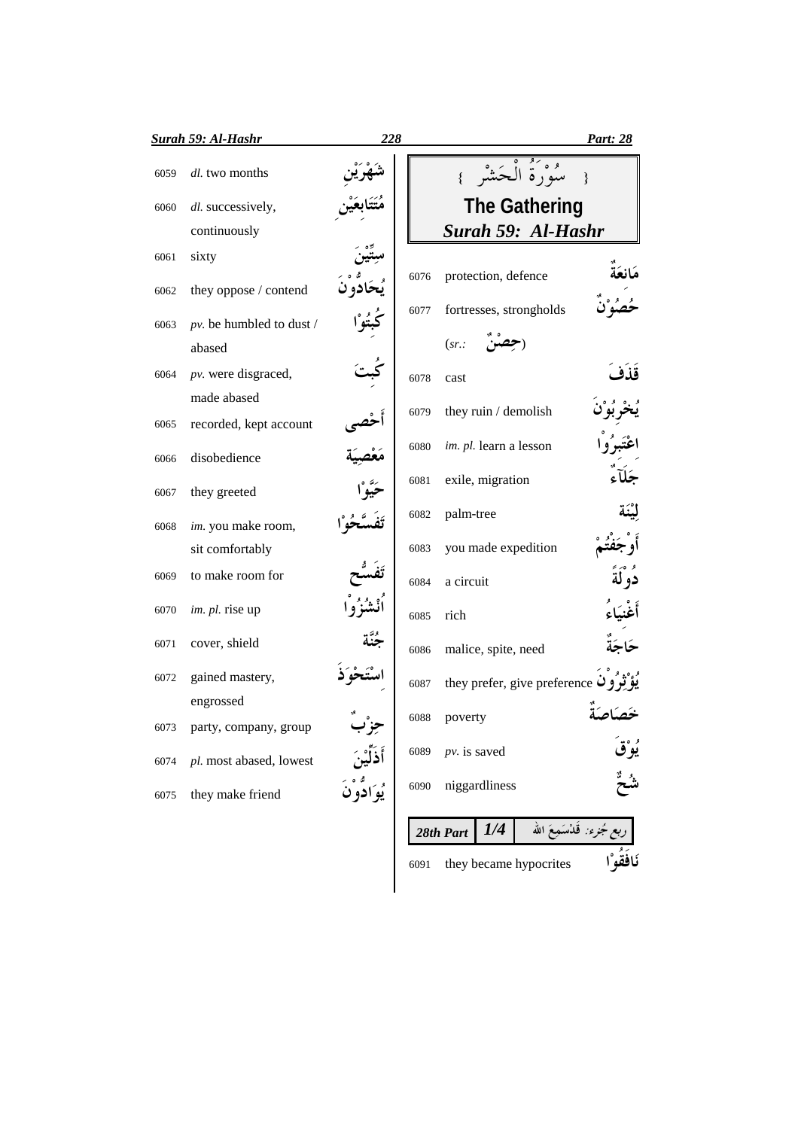|      | <b>Surah 59: Al-Hashr</b> | 228          |      |                              | Part: 28                  |
|------|---------------------------|--------------|------|------------------------------|---------------------------|
| 6059 | dl. two months            |              |      | { سُوْرَةُ الْحَشْرِ }       |                           |
| 6060 | dl. successively,         |              |      | <b>The Gathering</b>         |                           |
|      | continuously              |              |      | Surah 59: Al-Hashr           |                           |
| 6061 | sixty                     |              |      |                              |                           |
| 6062 | they oppose / contend     |              | 6076 | protection, defence          |                           |
| 6063 | pv. be humbled to dust /  |              | 6077 | fortresses, strongholds      |                           |
|      | abased                    |              |      | (sr.                         |                           |
| 6064 | pv. were disgraced,       |              | 6078 | cast                         | قذف                       |
|      | made abased               |              | 6079 | they ruin / demolish         |                           |
| 6065 | recorded, kept account    |              |      |                              |                           |
| 6066 | disobedience              |              | 6080 | im. pl. learn a lesson       |                           |
| 6067 | they greeted              |              | 6081 | exile, migration             |                           |
| 6068 | im. you make room,        |              | 6082 | palm-tree                    |                           |
|      | sit comfortably           |              | 6083 | you made expedition          |                           |
| 6069 | to make room for          |              | 6084 | a circuit                    |                           |
| 6070 | im. pl. rise up           |              | 6085 | rich                         |                           |
| 6071 | cover, shield             |              | 6086 | malice, spite, need          |                           |
| 6072 | gained mastery,           |              | 6087 | they prefer, give preference |                           |
|      | engrossed                 |              |      |                              |                           |
| 6073 | party, company, group     | T J ,        | 6088 | poverty                      |                           |
| 6074 | pl. most abased, lowest   |              | 6089 | $pv.$ is saved               | ؠ۠ٷٞ                      |
| 6075 | they make friend          | يُوَادَّوْنَ | 6090 | niggardliness                |                           |
|      |                           |              |      | 1/4<br>28th Part             | ربع جُزء: قَلْسَمِعَ الله |

<sup>6091</sup> they became hypocrites 7 ")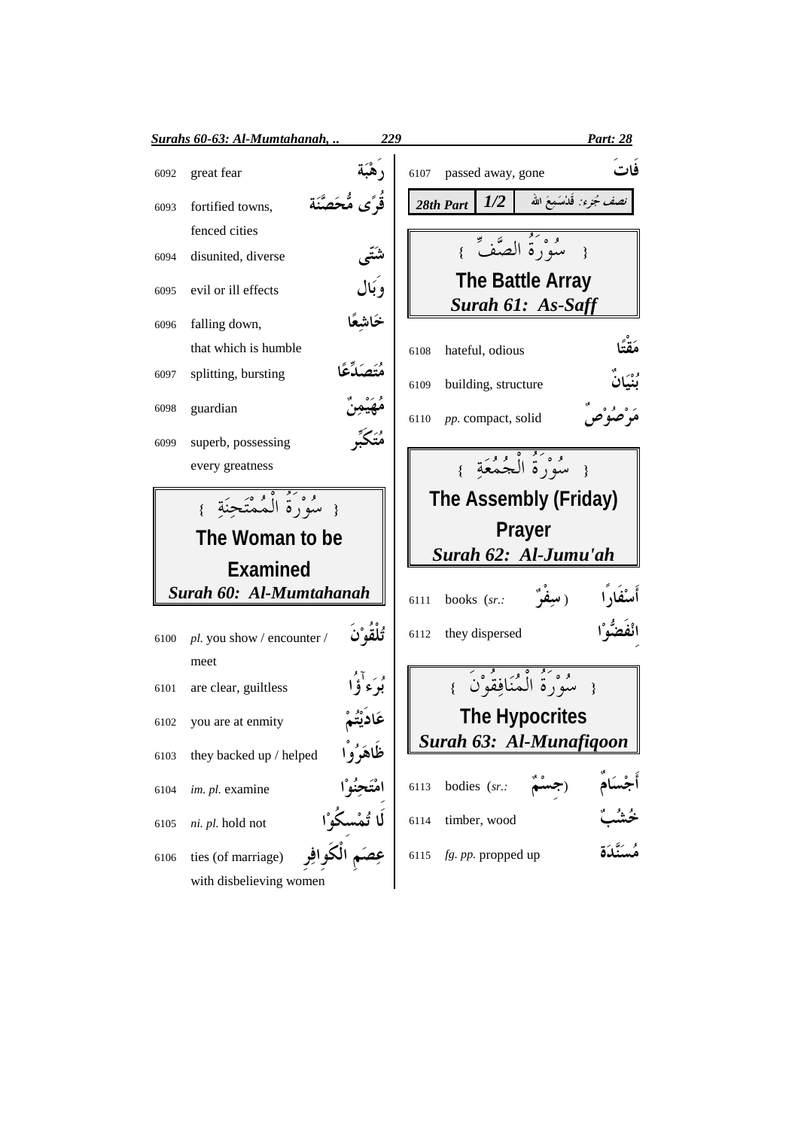|      | Surahs 60-63: Al-Mumtahanah,                  | 229               |                                              | Part: 28                          |
|------|-----------------------------------------------|-------------------|----------------------------------------------|-----------------------------------|
| 6092 | great fear                                    |                   | passed away, gone<br>6107                    | فات                               |
| 6093 | fortified towns,                              | ڤُرًى مُّحَصَّنَة | 1/2<br>28th Part                             | <i>نصف جُزء:</i> قَلْاسَمِعَ الله |
|      | fenced cities                                 |                   |                                              |                                   |
| 6094 | disunited, diverse                            | شتنی              | { سُوَدَءُ الصَّفِّ }                        |                                   |
| 6095 | evil or ill effects                           | وَبَال            | <b>The Battle Array</b><br>Surah 61: As-Saff |                                   |
| 6096 | falling down,                                 | خاشعًا            |                                              |                                   |
|      | that which is humble                          |                   | hateful, odious<br>6108                      | مَقَّةً                           |
| 6097 | splitting, bursting                           |                   | building, structure<br>6109                  | وه<br><b>لند</b>                  |
| 6098 | guardian                                      |                   | pp. compact, solid<br>6110                   |                                   |
| 6099 | superb, possessing                            | مُتَكَبِّرِ       |                                              |                                   |
|      | every greatness                               |                   | { سُوَرَدٌ أَيْجُمُعَةٍ }                    |                                   |
|      | { سُوْرَةُ الْمُمْتَحِنَةِ }                  |                   | The Assembly (Friday)                        |                                   |
|      | The Woman to be                               |                   | <b>Prayer</b>                                |                                   |
|      |                                               |                   | Surah 62: Al-Jumu'ah                         |                                   |
|      | <b>Examined</b>                               |                   |                                              |                                   |
|      | Surah 60: Al-Mumtahanah                       |                   | (سِفْرٌ<br>books $(sr.$<br>6111              |                                   |
| 6100 | pl. you show / encounter /                    | تُلْقَوْ`نَ       | they dispersed<br>6112                       |                                   |
|      | meet                                          |                   |                                              |                                   |
| 6101 | are clear, guiltless                          | بوء'ؤا            | { سُوْرَةُ الْمُنَافِقُوْنَ }                |                                   |
| 6102 | you are at enmity                             |                   | <b>The Hypocrites</b>                        |                                   |
| 6103 | they backed up / helped                       | ظَاهَرُوا         | Surah 63: Al-Munafiqoon                      |                                   |
| 6104 | im. pl. examine                               |                   | bodies (sr.:<br>6113                         |                                   |
| 6105 | ni. pl. hold not                              |                   | timber, wood<br>6114                         |                                   |
| 6106 | ties (of marriage)<br>with disbelieving women |                   | fg. pp. propped up<br>6115                   |                                   |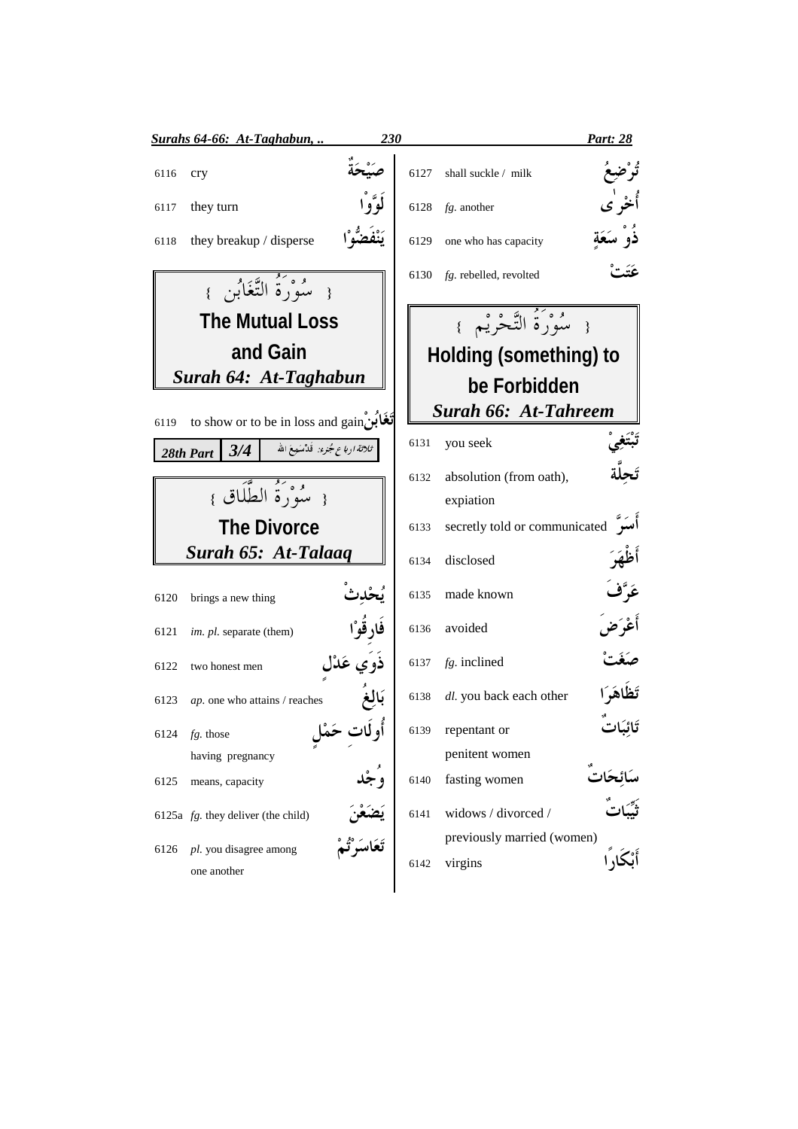|      | Surahs 64-66: At-Taghabun,                                      | 230        |      |                                       | <b>Part: 28</b> |
|------|-----------------------------------------------------------------|------------|------|---------------------------------------|-----------------|
| 6116 | cry                                                             |            | 6127 | shall suckle / milk                   |                 |
| 6117 | they turn                                                       |            | 6128 | $fg$ . another                        | أخْر ٰي         |
| 6118 | they breakup / disperse                                         |            | 6129 | one who has capacity                  | ذُوْ سَعَةٍ     |
|      | { سُوْرَةُ التَّغَابُنِ }                                       |            | 6130 | fg. rebelled, revolted                | عَتَتْ          |
|      | <b>The Mutual Loss</b>                                          |            |      | { سُوْرَةُ التَّحْرِيْمِ }            |                 |
|      | and Gain                                                        |            |      | <b>Holding (something) to</b>         |                 |
|      | Surah 64: At-Taghabun                                           |            |      | be Forbidden                          |                 |
| 6119 | to show or to be in loss and gain                               |            |      | <b>Surah 66: At-Tahreem</b>           |                 |
|      | <i>- ثلاثة اربا ع جُنرء:</i> قَدْسَمِعَ الله<br>28th Part $3/4$ |            | 6131 | you seek                              |                 |
|      |                                                                 |            | 6132 | absolution (from oath),               |                 |
|      | { سُوْرَةُ الطَّلَاقِ }                                         |            |      | expiation                             |                 |
|      | <b>The Divorce</b>                                              |            | 6133 | secretly told or communicated         |                 |
|      | Surah 65: At-Talaaq                                             |            | 6134 | disclosed                             | أَظْهَرَ        |
| 6120 | brings a new thing                                              |            | 6135 | made known                            | عَرَّفَ         |
| 6121 | im. pl. separate (them)                                         | فَارِقُوْا | 6136 | avoided                               | أعْرَض          |
| 6122 | two honest men                                                  | ذوي عَدّل  | 6137 | $fg.$ inclined                        |                 |
| 6123 | ap. one who attains / reaches                                   | بَالَغ     | 6138 | dl. you back each other               | تَظاهَرَا       |
|      | 6124 $fg.$ those                                                |            | 6139 | repentant or                          | تَائِبَاتَ      |
|      | having pregnancy                                                |            |      | penitent women                        |                 |
| 6125 | means, capacity                                                 |            | 6140 | fasting women                         |                 |
|      | 6125a $fg$ . they deliver (the child)                           |            | 6141 | widows / divorced /                   |                 |
| 6126 | pl. you disagree among<br>one another                           |            | 6142 | previously married (women)<br>virgins |                 |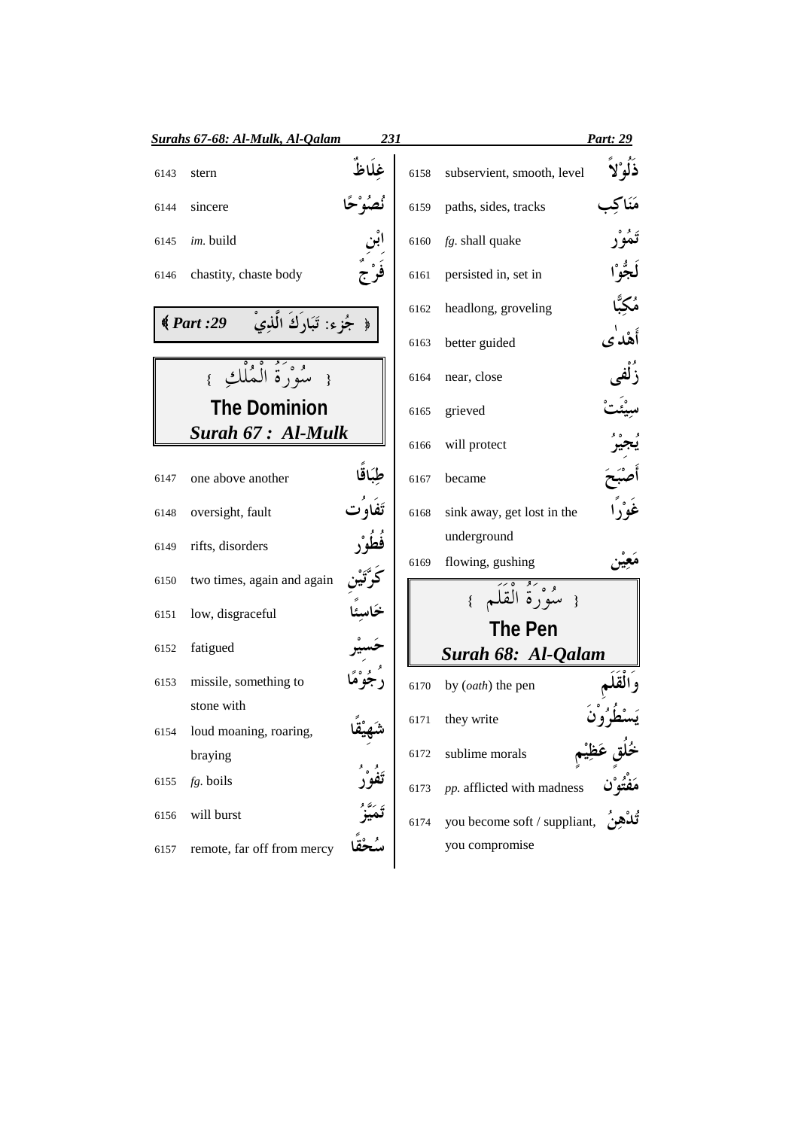|      | Surahs 67-68: Al-Mulk, Al-Qalam              | 231    |      |                              | Part: 29                                               |
|------|----------------------------------------------|--------|------|------------------------------|--------------------------------------------------------|
| 6143 | stern                                        | غلَاظَ | 6158 | subservient, smooth, level   | ذَلَوْلاً                                              |
| 6144 | sincere                                      |        | 6159 | paths, sides, tracks         |                                                        |
| 6145 | im. build                                    |        | 6160 | fg. shall quake              | تَمُوْر                                                |
| 6146 | chastity, chaste body                        |        | 6161 | persisted in, set in         | لَجُوْا                                                |
|      | جُزء: تَبَارَكَ الَّذِيْ<br>$\big( Part: 29$ |        | 6162 | headlong, groveling          | مُكِبًّا                                               |
|      |                                              |        | 6163 | better guided                | أَهْدٰى                                                |
|      | { سُوْرَةُ الْعُلْكِ                         |        | 6164 | near, close                  |                                                        |
|      | <b>The Dominion</b>                          |        | 6165 | grieved                      |                                                        |
|      | Surah 67 : Al-Mulk                           |        | 6166 | will protect                 |                                                        |
| 6147 | one above another                            |        | 6167 | became                       |                                                        |
| 6148 | oversight, fault                             |        | 6168 | sink away, get lost in the   | غَوْرٌ                                                 |
| 6149 | rifts, disorders                             |        |      | underground                  |                                                        |
| 6150 | two times, again and again                   |        | 6169 | flowing, gushing             |                                                        |
| 6151 | low, disgraceful                             |        |      | { سُوَرَةُ الْقَلَمِ }       |                                                        |
| 6152 | fatigued                                     |        |      | <b>The Pen</b>               |                                                        |
|      |                                              |        |      | Surah 68: Al-Qalam           |                                                        |
| 6153 | missile, something to                        |        | 6170 | by (oath) the pen            |                                                        |
|      | stone with                                   |        | 6171 | they write                   |                                                        |
|      | 6154 loud moaning, roaring,                  |        |      |                              |                                                        |
|      | braying                                      |        | 6172 | sublime morals               |                                                        |
| 6155 | fg. boils                                    |        | 6173 | pp. afflicted with madness   | خُلُقٍ عَظِيْمٍ<br>مَفْتُو <sup>َّن</sup> <sub>s</sub> |
| 6156 | will burst                                   |        | 6174 | you become soft / suppliant, |                                                        |
| 6157 | remote, far off from mercy                   |        |      | you compromise               |                                                        |
|      |                                              |        |      |                              |                                                        |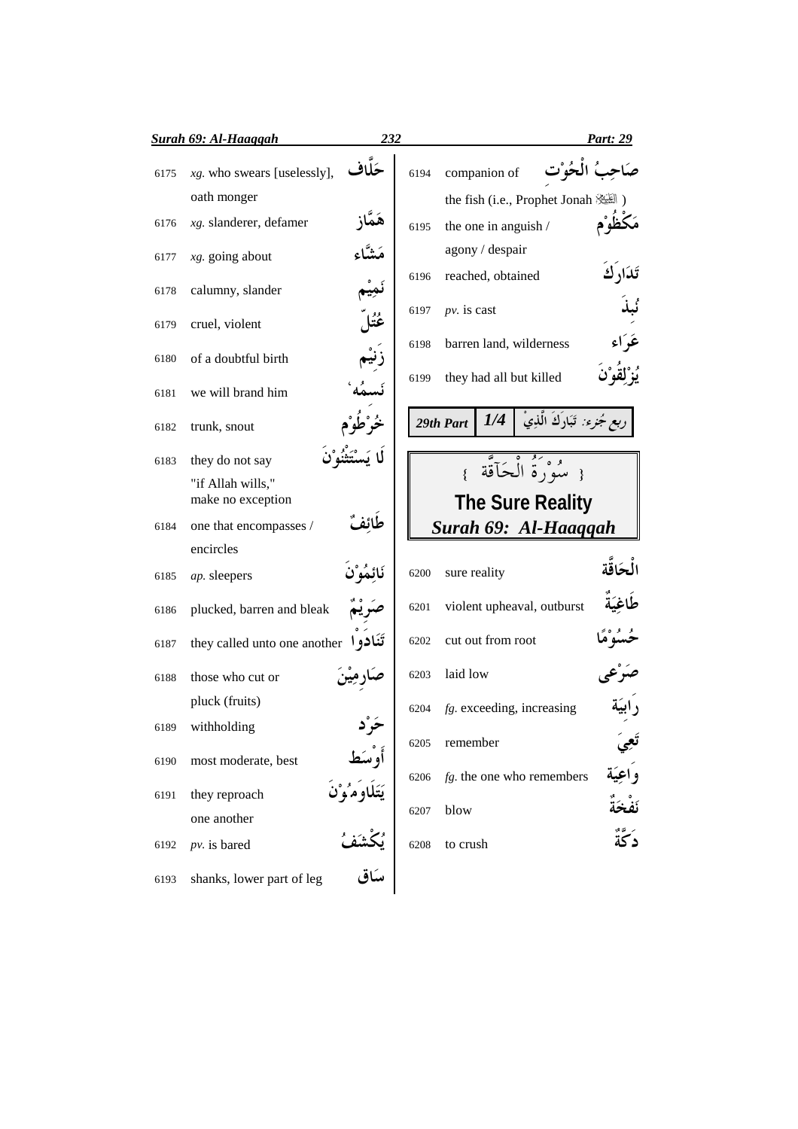|      | Surah 69: Al-Haaggah                                                        | 232 |      |               |                      |                              | Part: 29                        |
|------|-----------------------------------------------------------------------------|-----|------|---------------|----------------------|------------------------------|---------------------------------|
| 6175 | حَلاف<br>$xg$ . who swears [uselessly],<br>oath monger                      |     | 6194 |               | companion of         |                              | الحُوْت                         |
| 6176 | xg. slanderer, defamer                                                      |     | 6195 |               | the one in anguish / |                              | the fish (i.e., Prophet Jonah ) |
| 6177 | $x$ g. going about                                                          |     |      |               | agony / despair      |                              | ئدًار ك                         |
| 6178 | calumny, slander                                                            |     | 6196 |               | reached, obtained    |                              |                                 |
| 6179 | cruel, violent                                                              |     | 6197 | $pv.$ is cast |                      |                              | عَدِ ٗاء                        |
| 6180 | of a doubtful birth                                                         |     | 6198 |               |                      | barren land, wilderness      |                                 |
| 6181 | we will brand him                                                           |     | 6199 |               |                      | they had all but killed      |                                 |
| 6182 | trunk, snout                                                                |     |      | 29th Part     | 1/4                  | مُجزء: تَبَارَكَ الَّذِيْ    |                                 |
| 6183 | they do not say                                                             |     |      |               |                      | مُبُوَرَةُ الْحَاَّقَّة      |                                 |
|      | "if Allah wills,"<br>make no exception                                      |     |      |               |                      | <b>The Sure Reality</b>      |                                 |
| 6184 | one that encompasses /                                                      |     |      |               |                      |                              | Surah 69: Al-Haaqqah            |
| 6185 | encircles<br>ap. sleepers                                                   |     | 6200 | sure reality  |                      |                              |                                 |
| 6186 | plucked, barren and bleak                                                   |     | 6201 |               |                      | violent upheaval, outburst   |                                 |
| 6187 | تَنَادو ا<br>they called unto one another                                   |     | 6202 |               | cut out from root    |                              |                                 |
| 6188 | those who cut or                                                            |     | 6203 | laid low      |                      |                              |                                 |
|      | pluck (fruits)                                                              |     | 6204 |               |                      | $fg.$ exceeding, increasing  |                                 |
| 6189 | withholding                                                                 |     | 6205 | remember      |                      |                              |                                 |
| 6190 | most moderate, best                                                         |     | 6206 |               |                      | $fg$ . the one who remembers |                                 |
| 6191 | they reproach<br>one another                                                |     | 6207 | blow          |                      |                              |                                 |
| 6192 | $pv.$ is bared                                                              |     | 6208 | to crush      |                      |                              | دَكَّةُ                         |
| 6193 | أَوْسَط<br>يَتَلَاوَمُوْنَ<br>يُكْشَفُ<br>سَاق<br>shanks, lower part of leg |     |      |               |                      |                              |                                 |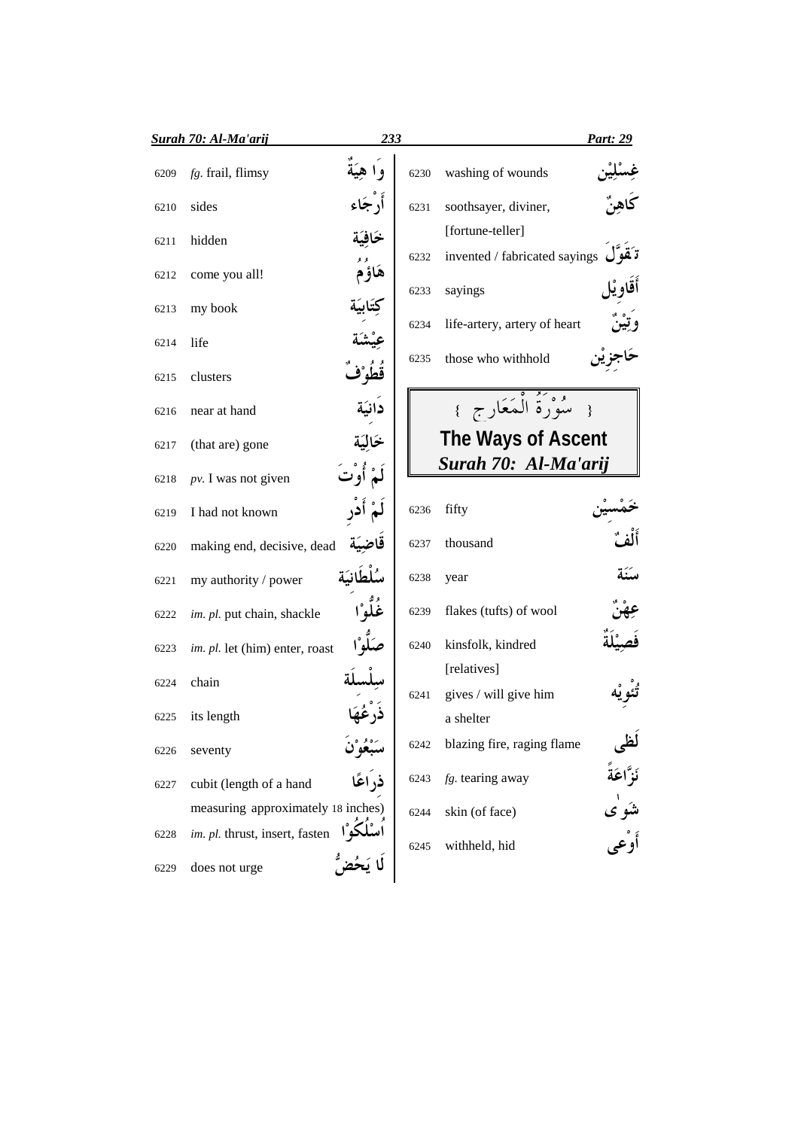|      | <b>Surah 70: Al-Ma'arij</b>        | 233         |      |                                                                           | <u>Part: 29</u>                            |
|------|------------------------------------|-------------|------|---------------------------------------------------------------------------|--------------------------------------------|
| 6209 | fg. frail, flimsy                  | وا هِيَةُ   | 6230 | washing of wounds                                                         |                                            |
| 6210 | sides                              | أرجاء       | 6231 | soothsayer, diviner,                                                      |                                            |
| 6211 | hidden                             | خافية       |      | [fortune-teller]<br>invented / fabricated sayings $\vec{v}$ قوں $\vec{v}$ |                                            |
| 6212 | come you all!                      | هَاؤُمْ     | 6232 |                                                                           | أقاويل                                     |
| 6213 | my book                            |             | 6233 | sayings                                                                   |                                            |
| 6214 | life                               |             | 6234 | life-artery, artery of heart                                              |                                            |
| 6215 | clusters                           | قطوْف       | 6235 | those who withhold                                                        |                                            |
| 6216 | near at hand                       | دانية       |      | سُوْرَةُ الْمَعَارِجِ }                                                   |                                            |
| 6217 | (that are) gone                    | خالية       |      | The Ways of Ascent                                                        |                                            |
| 6218 | $pv.$ I was not given              | لَمْ أُوْتَ |      | Surah 70: Al-Ma'arij                                                      |                                            |
| 6219 | I had not known                    |             | 6236 | fifty                                                                     |                                            |
| 6220 | making end, decisive, dead         | قاضية       | 6237 | thousand                                                                  |                                            |
| 6221 | my authority / power               |             | 6238 | year                                                                      |                                            |
| 6222 | im. pl. put chain, shackle         | ڠُلُّوْا    | 6239 | flakes (tufts) of wool                                                    |                                            |
| 6223 | im. pl. let (him) enter, roast     | صَلُّوْا    | 6240 | kinsfolk, kindred                                                         |                                            |
| 6224 | chain                              |             | 6241 | [relatives]<br>gives / will give him                                      |                                            |
| 6225 | its length                         |             |      | a shelter                                                                 |                                            |
| 6226 | seventy                            |             | 6242 | blazing fire, raging flame                                                | لظى                                        |
| 6227 | cubit (length of a hand            |             | 6243 | $fg$ . tearing away                                                       | نَزَّاعَةً<br>شَو <sup>ل</sup> ى<br>أَوْعى |
|      | measuring approximately 18 inches) |             | 6244 | skin (of face)                                                            |                                            |
| 6228 | im. pl. thrust, insert, fasten     |             | 6245 | withheld, hid                                                             |                                            |
| 6229 | does not urge                      |             |      |                                                                           |                                            |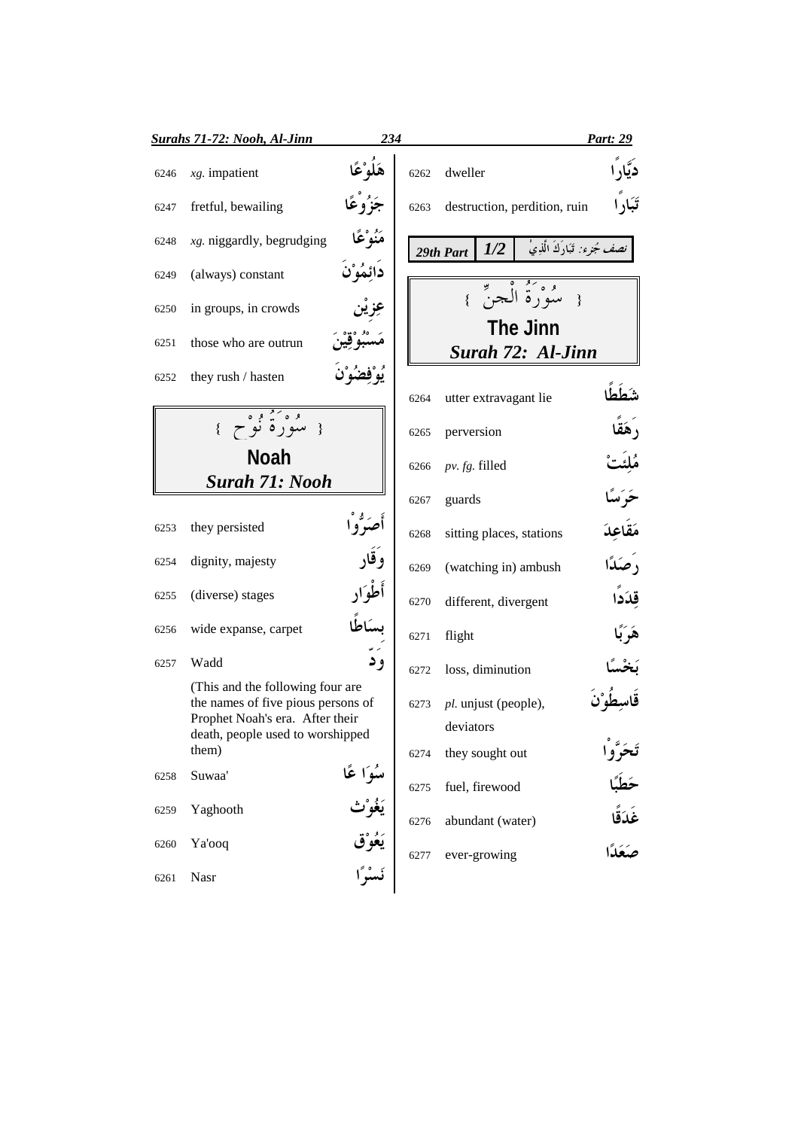|      | <b>Surahs 71-72: Nooh, Al-Jinn</b>                                                                        | 234                  |      |                                   |                                      | Part: 29                           |
|------|-----------------------------------------------------------------------------------------------------------|----------------------|------|-----------------------------------|--------------------------------------|------------------------------------|
| 6246 | $xg.$ impatient                                                                                           | هَلُوْ عًا           | 6262 | dweller                           |                                      | ديار                               |
| 6247 | fretful, bewailing                                                                                        | جَزُوْعًا            | 6263 |                                   | destruction, perdition, ruin         | تَبَارًا                           |
| 6248 | $xg$ . niggardly, begrudging                                                                              | مَنُوْعًا            |      | 1/2<br>29th Part                  | نصف مُجرء: تَبَارَكَ الَّذِيْ        |                                    |
| 6249 | (always) constant                                                                                         | دائِمُوْنَ           |      |                                   |                                      |                                    |
| 6250 | in groups, in crowds                                                                                      |                      |      |                                   | موتهُ الْجِنِّ }<br>$\{$             |                                    |
| 6251 | those who are outrun                                                                                      |                      |      |                                   | <b>The Jinn</b><br>Surah 72: Al-Jinn |                                    |
| 6252 | they rush / hasten                                                                                        |                      |      |                                   |                                      |                                    |
|      |                                                                                                           |                      | 6264 | utter extravagant lie             |                                      |                                    |
|      | وه کووه<br>{ سورهٔ نوح }                                                                                  |                      | 6265 | perversion                        |                                      |                                    |
|      | <b>Noah</b>                                                                                               |                      | 6266 | $pv. fg.$ filled                  |                                      |                                    |
|      | <b>Surah 71: Nooh</b>                                                                                     |                      | 6267 | guards                            |                                      |                                    |
| 6253 | they persisted                                                                                            |                      | 6268 | sitting places, stations          |                                      | مَقاعِدَ                           |
| 6254 | dignity, majesty                                                                                          | وَقَار               | 6269 | (watching in) ambush              |                                      | رَصِكَا                            |
| 6255 | (diverse) stages                                                                                          | أطوار                | 6270 | different, divergent              |                                      | قِدَدًا                            |
| 6256 | wide expanse, carpet                                                                                      |                      | 6271 | flight                            |                                      | هَرَبَّا                           |
| 6257 | Wadd                                                                                                      | و د                  | 6272 | loss, diminution                  |                                      |                                    |
|      | (This and the following four are<br>the names of five pious persons of<br>Prophet Noah's era. After their |                      | 6273 | pl. unjust (people),<br>deviators |                                      |                                    |
|      | death, people used to worshipped<br>them)                                                                 |                      | 6274 | they sought out                   |                                      |                                    |
| 6258 | Suwaa'                                                                                                    | سُوَا عًا<br>يَغُوْث | 6275 | fuel, firewood                    |                                      | تَحَرَّو <sup>ْ</sup> ا<br>حَطَبًا |
| 6259 | Yaghooth                                                                                                  |                      | 6276 | abundant (water)                  |                                      |                                    |
| 6260 | Ya'ooq                                                                                                    | يَعُوْق              | 6277 | ever-growing                      |                                      | غَدَقًا<br>صَعَدًا                 |
| 6261 | Nasr                                                                                                      | نَسْرًا              |      |                                   |                                      |                                    |